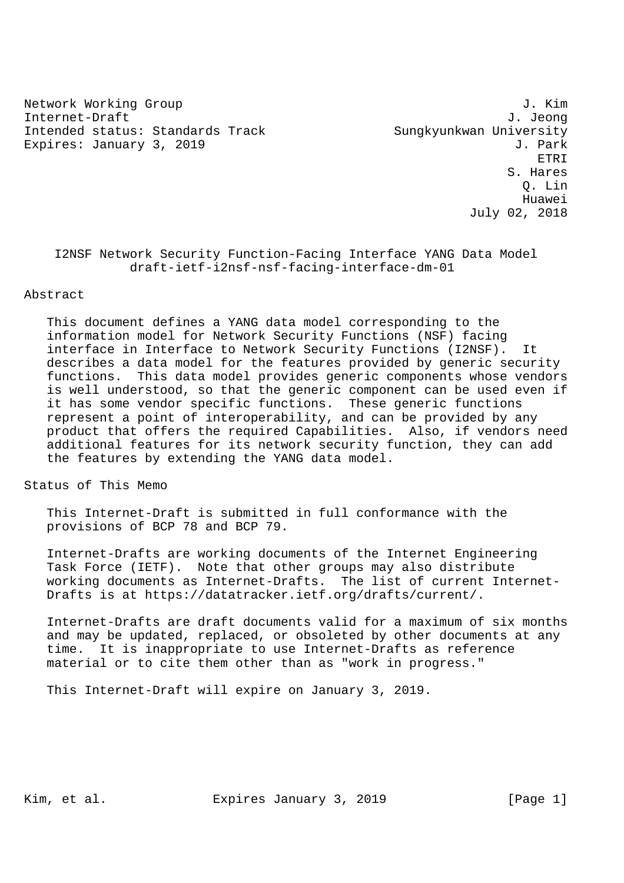Network Working Group 3. The Second Second Second Second Second Second Second Second Second Second Second Second Second Second Second Second Second Second Second Second Second Second Second Second Second Second Second Seco Internet-Draft J. Jeong Intended status: Standards Track Sungkyunkwan University Expires: January 3, 2019 **J. Park** 

 ETRI S. Hares Q. Lin Huawei July 02, 2018

# I2NSF Network Security Function-Facing Interface YANG Data Model draft-ietf-i2nsf-nsf-facing-interface-dm-01

# Abstract

 This document defines a YANG data model corresponding to the information model for Network Security Functions (NSF) facing interface in Interface to Network Security Functions (I2NSF). It describes a data model for the features provided by generic security functions. This data model provides generic components whose vendors is well understood, so that the generic component can be used even if it has some vendor specific functions. These generic functions represent a point of interoperability, and can be provided by any product that offers the required Capabilities. Also, if vendors need additional features for its network security function, they can add the features by extending the YANG data model.

Status of This Memo

 This Internet-Draft is submitted in full conformance with the provisions of BCP 78 and BCP 79.

 Internet-Drafts are working documents of the Internet Engineering Task Force (IETF). Note that other groups may also distribute working documents as Internet-Drafts. The list of current Internet- Drafts is at https://datatracker.ietf.org/drafts/current/.

 Internet-Drafts are draft documents valid for a maximum of six months and may be updated, replaced, or obsoleted by other documents at any time. It is inappropriate to use Internet-Drafts as reference material or to cite them other than as "work in progress."

This Internet-Draft will expire on January 3, 2019.

Kim, et al. Expires January 3, 2019 [Page 1]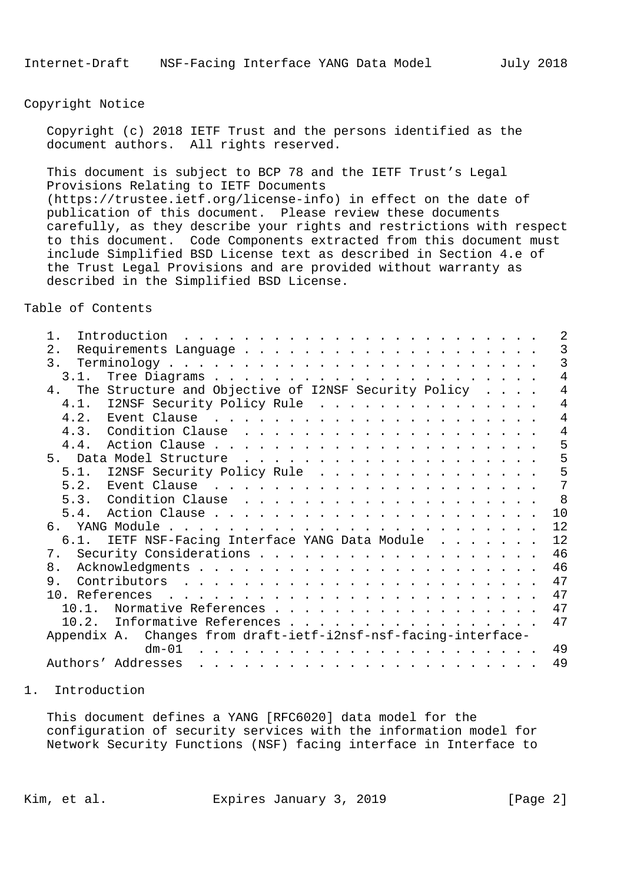Copyright Notice

 Copyright (c) 2018 IETF Trust and the persons identified as the document authors. All rights reserved.

 This document is subject to BCP 78 and the IETF Trust's Legal Provisions Relating to IETF Documents (https://trustee.ietf.org/license-info) in effect on the date of publication of this document. Please review these documents carefully, as they describe your rights and restrictions with respect to this document. Code Components extracted from this document must include Simplified BSD License text as described in Section 4.e of the Trust Legal Provisions and are provided without warranty as described in the Simplified BSD License.

Table of Contents

| $1$ . | 2                                                                                                   |
|-------|-----------------------------------------------------------------------------------------------------|
| 2.    | 3                                                                                                   |
|       | 3                                                                                                   |
| 3.1.  | 4                                                                                                   |
|       | $\overline{4}$<br>4. The Structure and Objective of I2NSF Security Policy                           |
|       | 4.1. I2NSF Security Policy Rule<br>4                                                                |
|       | 4                                                                                                   |
| 4.3.  | 4                                                                                                   |
| 4.4.  | 5                                                                                                   |
|       | 5                                                                                                   |
| 5.1.  | 5<br>I2NSF Security Policy Rule                                                                     |
| 5.2.  | 7                                                                                                   |
|       | 8                                                                                                   |
|       | 10                                                                                                  |
| რ. —  | 12                                                                                                  |
|       | 12<br>6.1. IETF NSF-Facing Interface YANG Data Module                                               |
|       | 46                                                                                                  |
| 8.    | 46                                                                                                  |
| 9.    | 47                                                                                                  |
|       | 47                                                                                                  |
| 10.1. | 47<br>Normative References                                                                          |
|       | 47<br>10.2. Informative References                                                                  |
|       | Appendix A. Changes from draft-ietf-i2nsf-nsf-facing-interface-                                     |
|       | 49<br>$dm - 01$<br>$\mathbf{r}$ and $\mathbf{r}$ and $\mathbf{r}$ and $\mathbf{r}$<br>$\frac{1}{2}$ |
|       | 49<br>Authors' Addresses                                                                            |
|       |                                                                                                     |

### 1. Introduction

 This document defines a YANG [RFC6020] data model for the configuration of security services with the information model for Network Security Functions (NSF) facing interface in Interface to

Kim, et al. Expires January 3, 2019 [Page 2]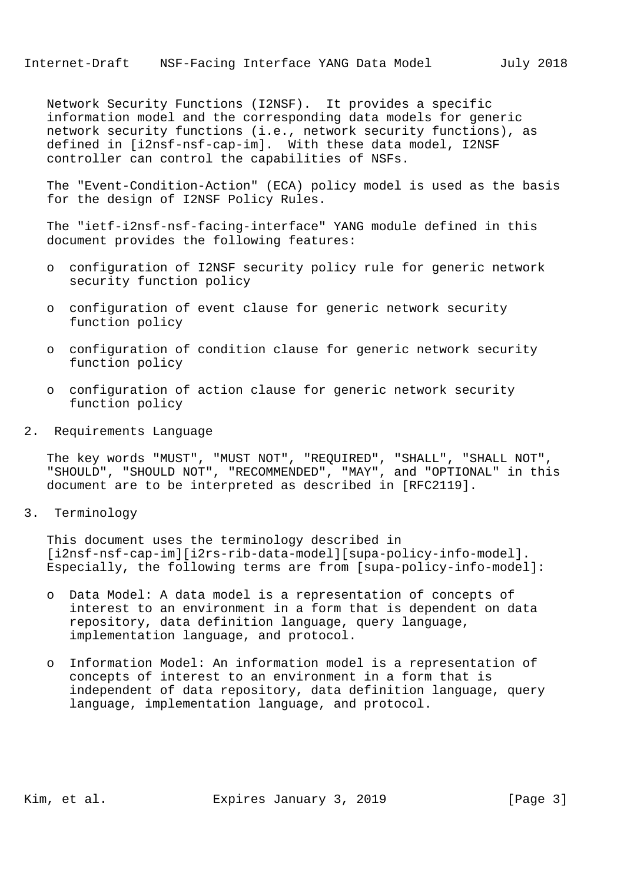Network Security Functions (I2NSF). It provides a specific information model and the corresponding data models for generic network security functions (i.e., network security functions), as defined in [i2nsf-nsf-cap-im]. With these data model, I2NSF controller can control the capabilities of NSFs.

 The "Event-Condition-Action" (ECA) policy model is used as the basis for the design of I2NSF Policy Rules.

 The "ietf-i2nsf-nsf-facing-interface" YANG module defined in this document provides the following features:

- o configuration of I2NSF security policy rule for generic network security function policy
- o configuration of event clause for generic network security function policy
- o configuration of condition clause for generic network security function policy
- o configuration of action clause for generic network security function policy
- 2. Requirements Language

 The key words "MUST", "MUST NOT", "REQUIRED", "SHALL", "SHALL NOT", "SHOULD", "SHOULD NOT", "RECOMMENDED", "MAY", and "OPTIONAL" in this document are to be interpreted as described in [RFC2119].

3. Terminology

 This document uses the terminology described in [i2nsf-nsf-cap-im][i2rs-rib-data-model][supa-policy-info-model]. Especially, the following terms are from [supa-policy-info-model]:

- o Data Model: A data model is a representation of concepts of interest to an environment in a form that is dependent on data repository, data definition language, query language, implementation language, and protocol.
- o Information Model: An information model is a representation of concepts of interest to an environment in a form that is independent of data repository, data definition language, query language, implementation language, and protocol.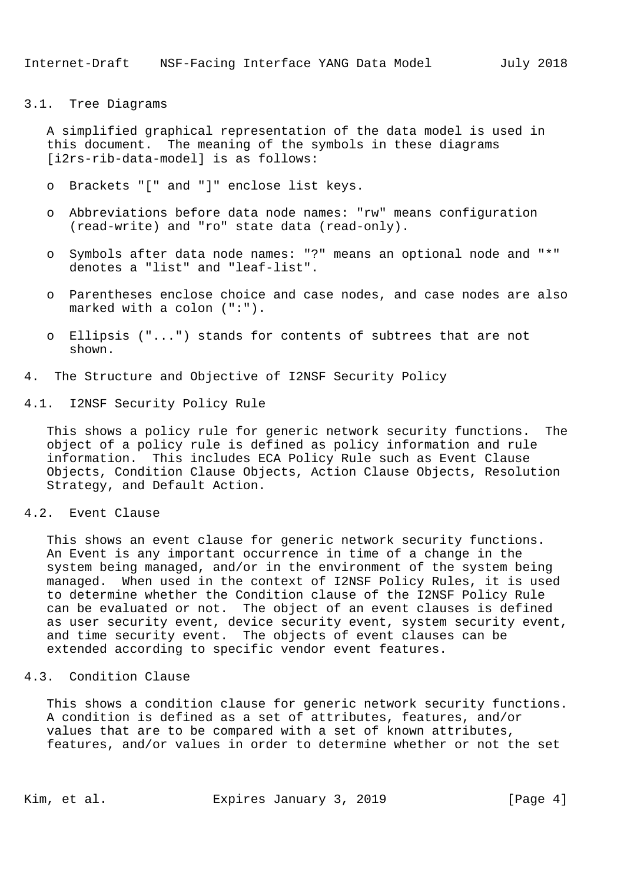#### 3.1. Tree Diagrams

 A simplified graphical representation of the data model is used in this document. The meaning of the symbols in these diagrams [i2rs-rib-data-model] is as follows:

- o Brackets "[" and "]" enclose list keys.
- o Abbreviations before data node names: "rw" means configuration (read-write) and "ro" state data (read-only).
- o Symbols after data node names: "?" means an optional node and "\*" denotes a "list" and "leaf-list".
- o Parentheses enclose choice and case nodes, and case nodes are also marked with a colon (":").
- o Ellipsis ("...") stands for contents of subtrees that are not shown.
- 4. The Structure and Objective of I2NSF Security Policy
- 4.1. I2NSF Security Policy Rule

 This shows a policy rule for generic network security functions. The object of a policy rule is defined as policy information and rule information. This includes ECA Policy Rule such as Event Clause Objects, Condition Clause Objects, Action Clause Objects, Resolution Strategy, and Default Action.

# 4.2. Event Clause

 This shows an event clause for generic network security functions. An Event is any important occurrence in time of a change in the system being managed, and/or in the environment of the system being managed. When used in the context of I2NSF Policy Rules, it is used to determine whether the Condition clause of the I2NSF Policy Rule can be evaluated or not. The object of an event clauses is defined as user security event, device security event, system security event, and time security event. The objects of event clauses can be extended according to specific vendor event features.

#### 4.3. Condition Clause

 This shows a condition clause for generic network security functions. A condition is defined as a set of attributes, features, and/or values that are to be compared with a set of known attributes, features, and/or values in order to determine whether or not the set

Kim, et al. Expires January 3, 2019 [Page 4]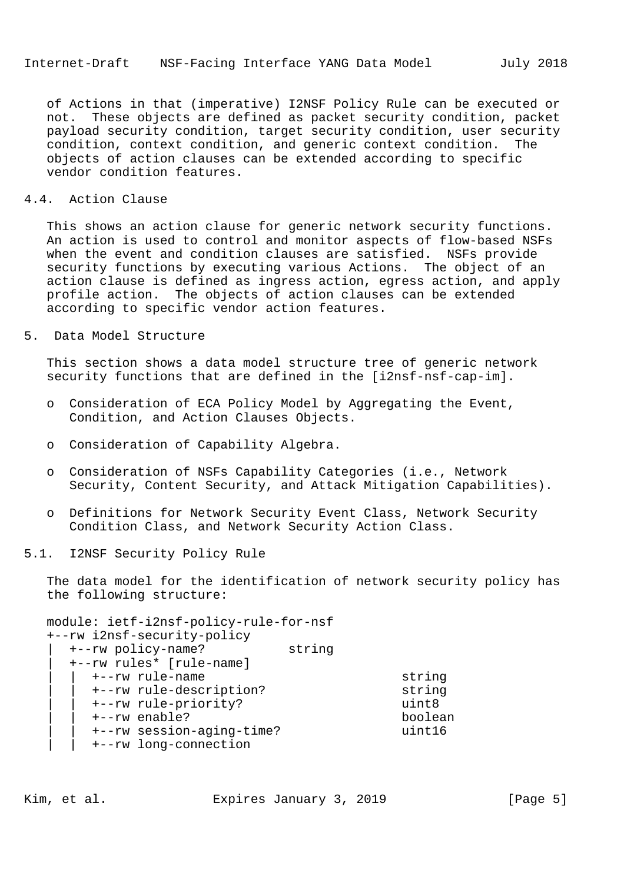of Actions in that (imperative) I2NSF Policy Rule can be executed or not. These objects are defined as packet security condition, packet payload security condition, target security condition, user security condition, context condition, and generic context condition. The objects of action clauses can be extended according to specific vendor condition features.

## 4.4. Action Clause

 This shows an action clause for generic network security functions. An action is used to control and monitor aspects of flow-based NSFs when the event and condition clauses are satisfied. NSFs provide security functions by executing various Actions. The object of an action clause is defined as ingress action, egress action, and apply profile action. The objects of action clauses can be extended according to specific vendor action features.

## 5. Data Model Structure

 This section shows a data model structure tree of generic network security functions that are defined in the [i2nsf-nsf-cap-im].

- o Consideration of ECA Policy Model by Aggregating the Event, Condition, and Action Clauses Objects.
- o Consideration of Capability Algebra.
- o Consideration of NSFs Capability Categories (i.e., Network Security, Content Security, and Attack Mitigation Capabilities).
- o Definitions for Network Security Event Class, Network Security Condition Class, and Network Security Action Class.

## 5.1. I2NSF Security Policy Rule

 The data model for the identification of network security policy has the following structure:

 module: ietf-i2nsf-policy-rule-for-nsf +--rw i2nsf-security-policy | +--rw policy-name? string | +--rw rules\* [rule-name] | | +--rw rule-name string | | +--rw rule-description? string | | +--rw rule-priority? uint8 | | +--rw enable? boolean | | +--rw session-aging-time? uint16 | | +--rw long-connection

Kim, et al. Expires January 3, 2019 [Page 5]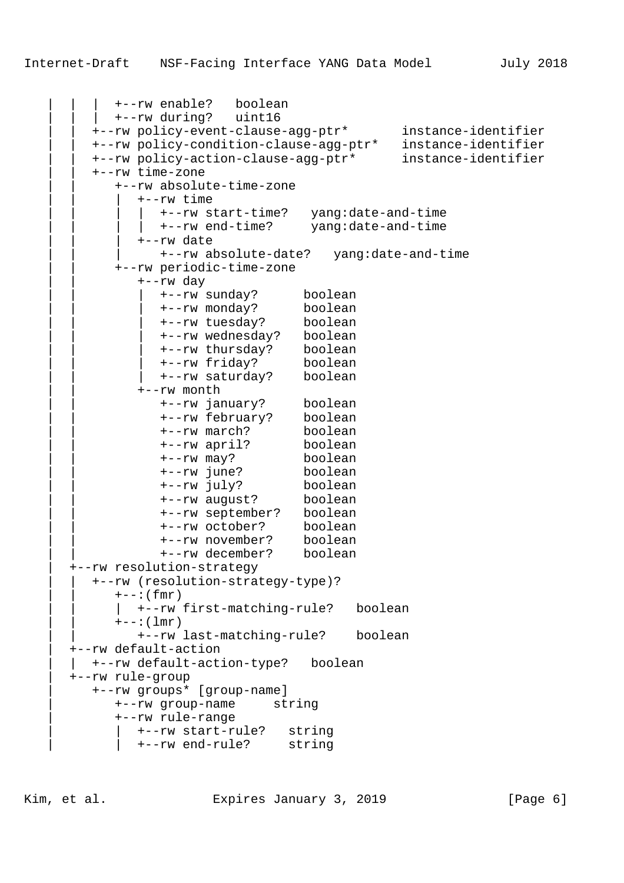```
 | | | +--rw enable? boolean
           | | | +--rw during? uint16
 | | +--rw policy-event-clause-agg-ptr* instance-identifier
 | | +--rw policy-condition-clause-agg-ptr* instance-identifier
 | | +--rw policy-action-clause-agg-ptr* instance-identifier
        | | +--rw time-zone
           | | +--rw absolute-time-zone
              | | | +--rw time
               | | | | +--rw start-time? yang:date-and-time
             | +--rw end-time? yang:date-and-time
              | | | +--rw date
                | | | +--rw absolute-date? yang:date-and-time
           | | +--rw periodic-time-zone
              | | +--rw day
 | | | +--rw sunday? boolean
 | | | +--rw monday? boolean
 | | | +--rw tuesday? boolean
 | | | +--rw wednesday? boolean
 | | | +--rw thursday? boolean
 | | | +--rw friday? boolean
 | | | +--rw saturday? boolean
              | | +--rw month
 | | +--rw january? boolean
 | | +--rw february? boolean
                | | +--rw march? boolean
                | | +--rw april? boolean
 | | +--rw may? boolean
 | | +--rw june? boolean
 | | +--rw july? boolean
 | | +--rw august? boolean
 | | +--rw september? boolean
 | | +--rw october? boolean
                | | +--rw november? boolean
                | | +--rw december? boolean
      | +--rw resolution-strategy
        | | +--rw (resolution-strategy-type)?
          +--: (fmr)| +--rw first-matching-rule? boolean
          +--:(\text{lmr}) | | +--rw last-matching-rule? boolean
      | +--rw default-action
       | | +--rw default-action-type? boolean
      | +--rw rule-group
        | +--rw groups* [group-name]
           | +--rw group-name string
           | +--rw rule-range
             | | +--rw start-rule? string
             | | +--rw end-rule? string
```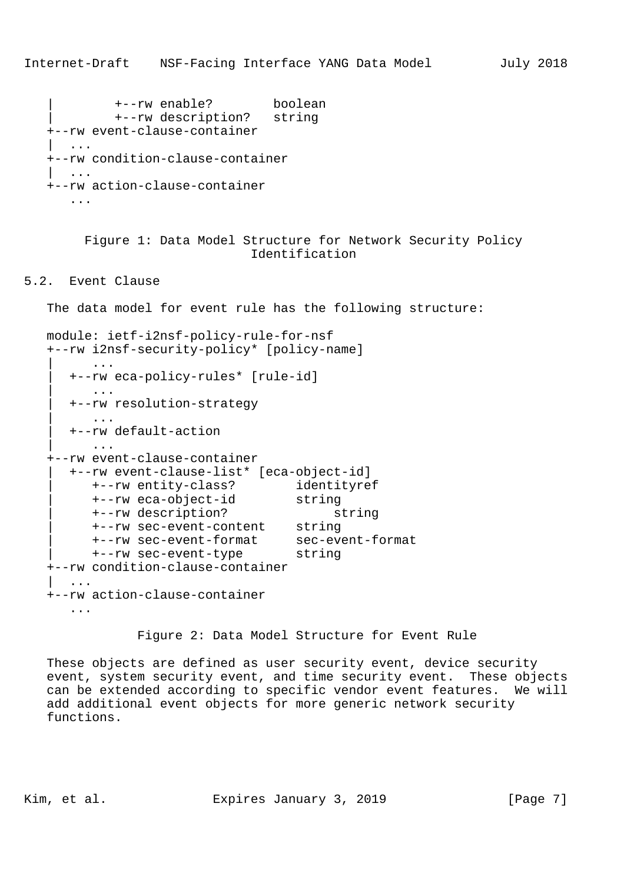```
 | +--rw enable? boolean
          | +--rw description? string
 +--rw event-clause-container
   | ...
 +--rw condition-clause-container
   | ...
 +--rw action-clause-container
    ...
```
 Figure 1: Data Model Structure for Network Security Policy Identification

5.2. Event Clause

The data model for event rule has the following structure:

```
 module: ietf-i2nsf-policy-rule-for-nsf
   +--rw i2nsf-security-policy* [policy-name]
         | ...
      | +--rw eca-policy-rules* [rule-id]
         | ...
      | +--rw resolution-strategy
         | ...
      | +--rw default-action
         | ...
   +--rw event-clause-container
      | +--rw event-clause-list* [eca-object-id]
 | +--rw entity-class? identityref
 | +--rw eca-object-id string
 | +--rw description? string
         | +--rw sec-event-content string
         | +--rw sec-event-format sec-event-format
         | +--rw sec-event-type string
   +--rw condition-clause-container
| ...
   +--rw action-clause-container
      ...
```
Figure 2: Data Model Structure for Event Rule

 These objects are defined as user security event, device security event, system security event, and time security event. These objects can be extended according to specific vendor event features. We will add additional event objects for more generic network security functions.

Kim, et al. Expires January 3, 2019 [Page 7]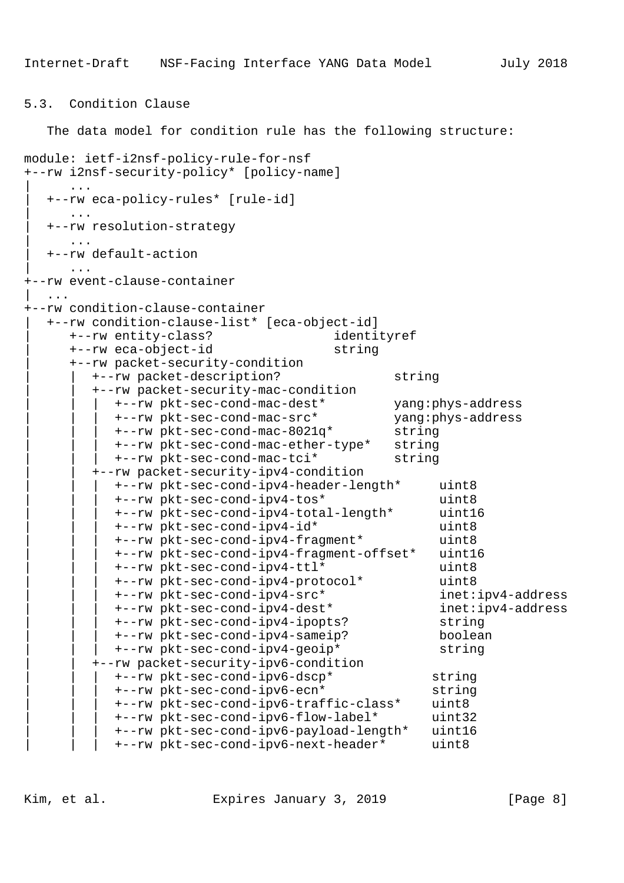## 5.3. Condition Clause

The data model for condition rule has the following structure:

```
module: ietf-i2nsf-policy-rule-for-nsf
+--rw i2nsf-security-policy* [policy-name]
\| ...
  | +--rw eca-policy-rules* [rule-id]
     | ...
  | +--rw resolution-strategy
     | ...
  | +--rw default-action
      | ...
+--rw event-clause-container
   | ...
+--rw condition-clause-container
  | +--rw condition-clause-list* [eca-object-id]
     | +--rw entity-class? identityref
     | +--rw eca-object-id string
     | +--rw packet-security-condition
        | | +--rw packet-description? string
        | | +--rw packet-security-mac-condition
           | | | +--rw pkt-sec-cond-mac-dest* yang:phys-address
           +--rw pkt-sec-cond-mac-src*
           | | | +--rw pkt-sec-cond-mac-8021q* string
           | | | +--rw pkt-sec-cond-mac-ether-type* string
           | | | +--rw pkt-sec-cond-mac-tci* string
        | | +--rw packet-security-ipv4-condition
           | | | +--rw pkt-sec-cond-ipv4-header-length* uint8
           | | | +--rw pkt-sec-cond-ipv4-tos* uint8
           | | | +--rw pkt-sec-cond-ipv4-total-length* uint16
           | | | +--rw pkt-sec-cond-ipv4-id* uint8
           | | | +--rw pkt-sec-cond-ipv4-fragment* uint8
           | | | +--rw pkt-sec-cond-ipv4-fragment-offset* uint16
           | | | +--rw pkt-sec-cond-ipv4-ttl* uint8
           | | | +--rw pkt-sec-cond-ipv4-protocol* uint8
           | | | +--rw pkt-sec-cond-ipv4-src* inet:ipv4-address
           | | | +--rw pkt-sec-cond-ipv4-dest* inet:ipv4-address
           | | | +--rw pkt-sec-cond-ipv4-ipopts? string
           | | | +--rw pkt-sec-cond-ipv4-sameip? boolean
           | | | +--rw pkt-sec-cond-ipv4-geoip* string
        | | +--rw packet-security-ipv6-condition
           | | | +--rw pkt-sec-cond-ipv6-dscp* string
           | | | +--rw pkt-sec-cond-ipv6-ecn* string
           | | | +--rw pkt-sec-cond-ipv6-traffic-class* uint8
           | | | +--rw pkt-sec-cond-ipv6-flow-label* uint32
           | | | +--rw pkt-sec-cond-ipv6-payload-length* uint16
           | | | +--rw pkt-sec-cond-ipv6-next-header* uint8
```
Kim, et al. Expires January 3, 2019 [Page 8]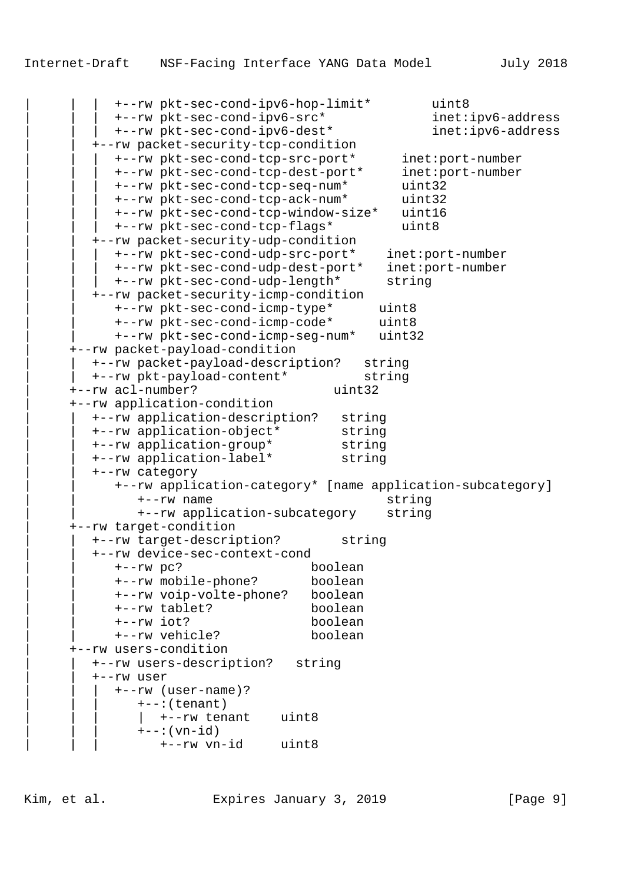| | | +--rw pkt-sec-cond-ipv6-hop-limit\* uint8 | | | +--rw pkt-sec-cond-ipv6-src\* inet:ipv6-address | | | +--rw pkt-sec-cond-ipv6-dest\* inet:ipv6-address | | +--rw packet-security-tcp-condition | | | +--rw pkt-sec-cond-tcp-src-port\* inet:port-number | | | +--rw pkt-sec-cond-tcp-dest-port\* inet:port-number | | | +--rw pkt-sec-cond-tcp-seq-num\* uint32 | | | +--rw pkt-sec-cond-tcp-ack-num\* uint32 | | | +--rw pkt-sec-cond-tcp-window-size\* uint16 | | | +--rw pkt-sec-cond-tcp-flags\* uint8 | | +--rw packet-security-udp-condition | | | +--rw pkt-sec-cond-udp-src-port\* inet:port-number | | | +--rw pkt-sec-cond-udp-dest-port\* inet:port-number | | | +--rw pkt-sec-cond-udp-length\* string | | +--rw packet-security-icmp-condition | | +--rw pkt-sec-cond-icmp-type\* uint8 | | +--rw pkt-sec-cond-icmp-code\* uint8 | | +--rw pkt-sec-cond-icmp-seg-num\* uint32 | +--rw packet-payload-condition | | +--rw packet-payload-description? string | | +--rw pkt-payload-content\* string | +--rw acl-number? uint32 | +--rw application-condition | | +--rw application-description? string | | +--rw application-object\* string | | +--rw application-group\* string | | +--rw application-label\* string | | +--rw category | | +--rw application-category\* [name application-subcategory] | | +--rw name string | | +--rw application-subcategory string | +--rw target-condition | | +--rw target-description? string | | +--rw device-sec-context-cond | | +--rw pc? boolean | | +--rw mobile-phone? boolean | | +--rw voip-volte-phone? boolean | | +--rw tablet? boolean | | +--rw iot? boolean | | +--rw vehicle? boolean | +--rw users-condition | | +--rw users-description? string | | +--rw user | | | +--rw (user-name)?  $+--:(tenant)$  $|$  +--rw tenant uint8  $+--:(vn-id)$ | | | +--rw vn-id uint8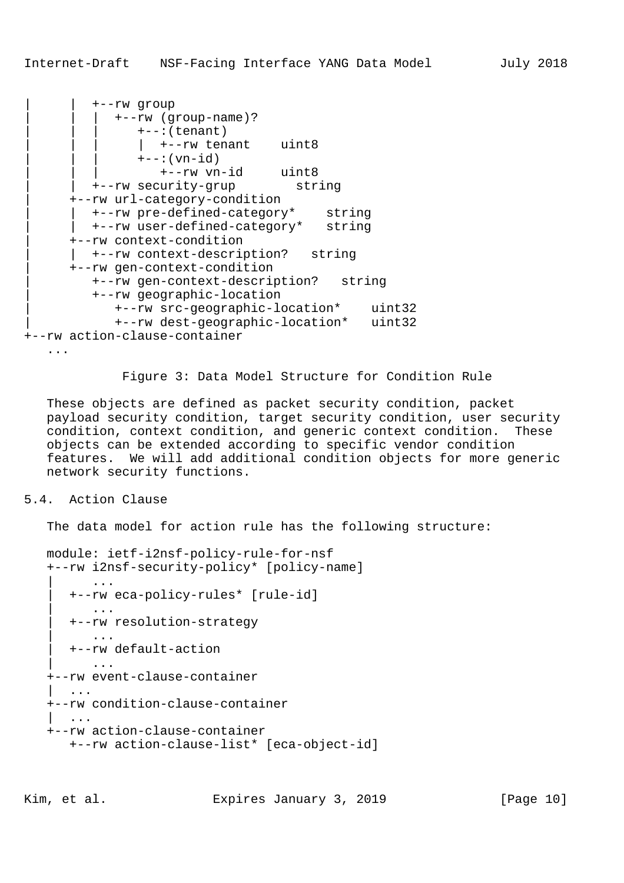```
| | +--rw group
            | | | +--rw (group-name)?
               +--:(tenant)
                 | | | | +--rw tenant uint8
               +--:(vn-id)
                  | | | +--rw vn-id uint8
        | | +--rw security-grup string
      | +--rw url-category-condition
        | | +--rw pre-defined-category* string
         | | +--rw user-defined-category* string
      | +--rw context-condition
        | | +--rw context-description? string
      | +--rw gen-context-condition
         | +--rw gen-context-description? string
         | +--rw geographic-location
            | +--rw src-geographic-location* uint32
            | +--rw dest-geographic-location* uint32
+--rw action-clause-container
    ...
```
Figure 3: Data Model Structure for Condition Rule

 These objects are defined as packet security condition, packet payload security condition, target security condition, user security condition, context condition, and generic context condition. These objects can be extended according to specific vendor condition features. We will add additional condition objects for more generic network security functions.

# 5.4. Action Clause

The data model for action rule has the following structure:

```
 module: ietf-i2nsf-policy-rule-for-nsf
    +--rw i2nsf-security-policy* [policy-name]
          | ...
      | +--rw eca-policy-rules* [rule-id]
          | ...
       | +--rw resolution-strategy
          | ...
       | +--rw default-action
 | ...
    +--rw event-clause-container
       | ...
    +--rw condition-clause-container
       | ...
    +--rw action-clause-container
       +--rw action-clause-list* [eca-object-id]
```
Kim, et al. Expires January 3, 2019 [Page 10]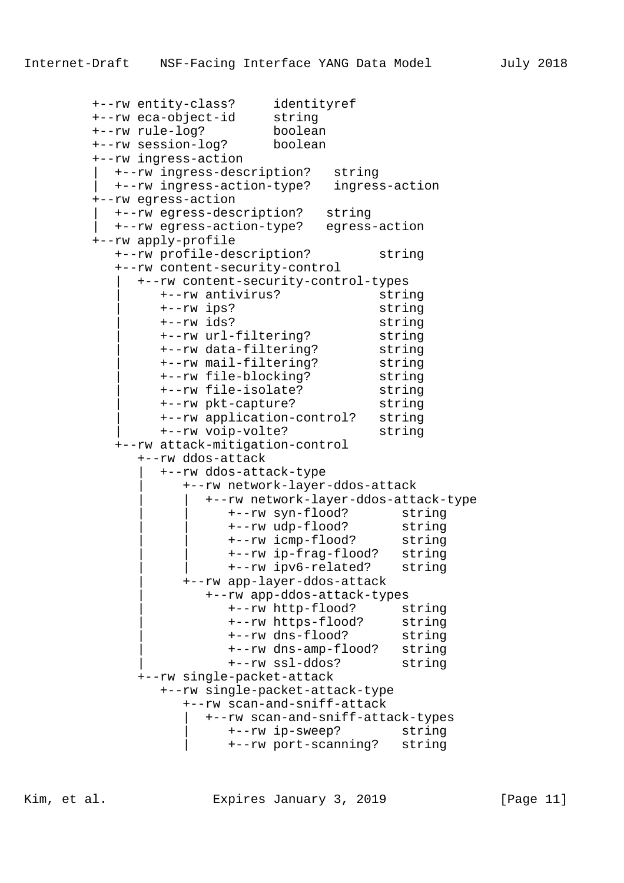```
 +--rw entity-class? identityref
 +--rw eca-object-id string
         +--rw rule-log? boolean
         +--rw session-log? boolean
         +--rw ingress-action
           | +--rw ingress-description? string
           | +--rw ingress-action-type? ingress-action
         +--rw egress-action
           | +--rw egress-description? string
            | +--rw egress-action-type? egress-action
         +--rw apply-profile
            +--rw profile-description? string
            +--rw content-security-control
              | +--rw content-security-control-types
                 | +--rw antivirus? string
                 | +--rw ips? string
                 | +--rw ids? string
                +--rw url-filtering?
                +--rw data-filtering? string<br>+--rw mail-filtering? string<br>+--rw file-blocking? string<br>+--rw file-isolate? string
 | +--rw mail-filtering? string
 | +--rw file-blocking? string
 | +--rw file-isolate? string
 | +--rw pkt-capture? string
 | +--rw application-control? string
                 | +--rw voip-volte? string
            +--rw attack-mitigation-control
               +--rw ddos-attack
                 | +--rw ddos-attack-type
                    | +--rw network-layer-ddos-attack
                       | | +--rw network-layer-ddos-attack-type
                          | | +--rw syn-flood? string
                          | | +--rw udp-flood? string
                          | | +--rw icmp-flood? string
                          | | +--rw ip-frag-flood? string
                          | | +--rw ipv6-related? string
                    | +--rw app-layer-ddos-attack
```
+--rw app-ddos-attack-types<br>+--rw http-flood? string<br>+--rw https-flood? string +--rw http-flood? | +--rw https-flood? string | +--rw dns-flood? string | +--rw dns-amp-flood? string | +--rw ssl-ddos? string +--rw single-packet-attack +--rw single-packet-attack-type +--rw scan-and-sniff-attack | +--rw scan-and-sniff-attack-types | +--rw ip-sweep? string | +--rw port-scanning? string

Kim, et al. Expires January 3, 2019 [Page 11]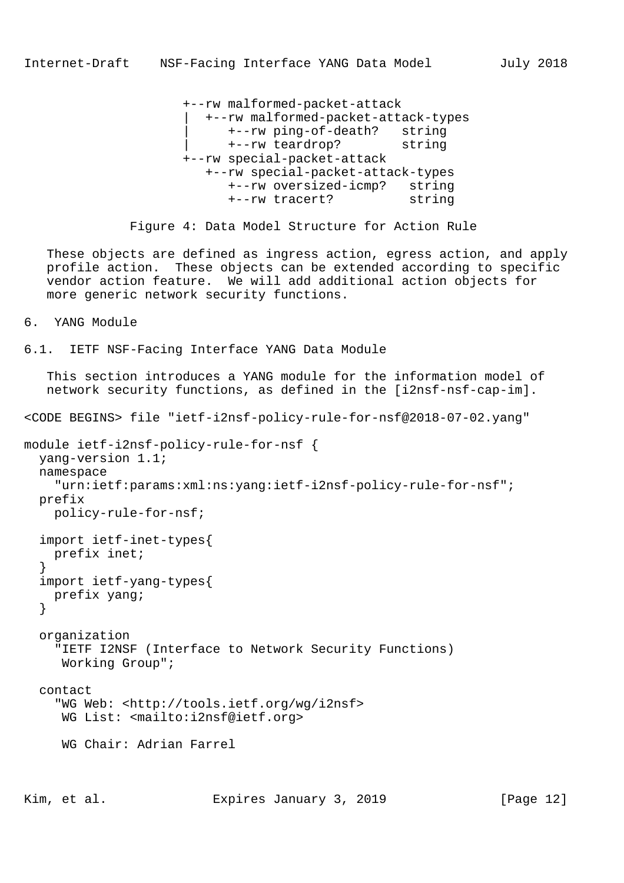+--rw malformed-packet-attack | +--rw malformed-packet-attack-types | +--rw ping-of-death? string | +--rw teardrop? string +--rw special-packet-attack +--rw special-packet-attack-types +--rw oversized-icmp? string +--rw tracert? string

Figure 4: Data Model Structure for Action Rule

 These objects are defined as ingress action, egress action, and apply profile action. These objects can be extended according to specific vendor action feature. We will add additional action objects for more generic network security functions.

6. YANG Module

6.1. IETF NSF-Facing Interface YANG Data Module

 This section introduces a YANG module for the information model of network security functions, as defined in the [i2nsf-nsf-cap-im]. <CODE BEGINS> file "ietf-i2nsf-policy-rule-for-nsf@2018-07-02.yang" module ietf-i2nsf-policy-rule-for-nsf { yang-version 1.1; namespace "urn:ietf:params:xml:ns:yang:ietf-i2nsf-policy-rule-for-nsf"; prefix policy-rule-for-nsf; import ietf-inet-types{ prefix inet; } import ietf-yang-types{ prefix yang; } organization "IETF I2NSF (Interface to Network Security Functions) Working Group"; contact "WG Web: <http://tools.ietf.org/wg/i2nsf> WG List: <mailto:i2nsf@ietf.org> WG Chair: Adrian Farrel

Kim, et al. Expires January 3, 2019 [Page 12]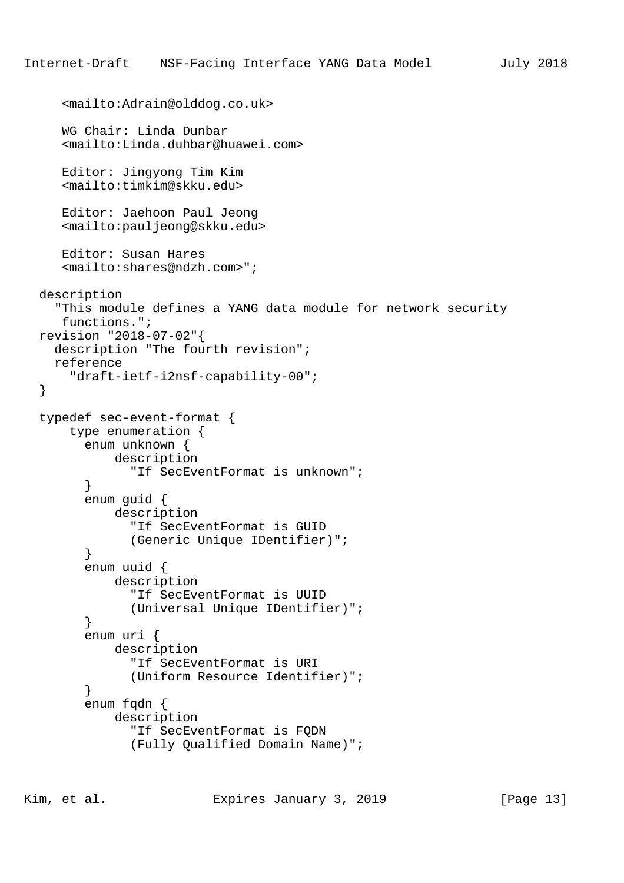```
 <mailto:Adrain@olddog.co.uk>
      WG Chair: Linda Dunbar
      <mailto:Linda.duhbar@huawei.com>
      Editor: Jingyong Tim Kim
      <mailto:timkim@skku.edu>
      Editor: Jaehoon Paul Jeong
      <mailto:pauljeong@skku.edu>
      Editor: Susan Hares
      <mailto:shares@ndzh.com>";
  description
     "This module defines a YANG data module for network security
      functions.";
  revision "2018-07-02"{
    description "The fourth revision";
    reference
       "draft-ietf-i2nsf-capability-00";
  typedef sec-event-format {
       type enumeration {
         enum unknown {
             description
               "If SecEventFormat is unknown";
         }
         enum guid {
             description
                "If SecEventFormat is GUID
               (Generic Unique IDentifier)";
         }
         enum uuid {
             description
                "If SecEventFormat is UUID
               (Universal Unique IDentifier)";
         }
         enum uri {
             description
                "If SecEventFormat is URI
               (Uniform Resource Identifier)";
 }
         enum fqdn {
             description
                "If SecEventFormat is FQDN
               (Fully Qualified Domain Name)";
```
}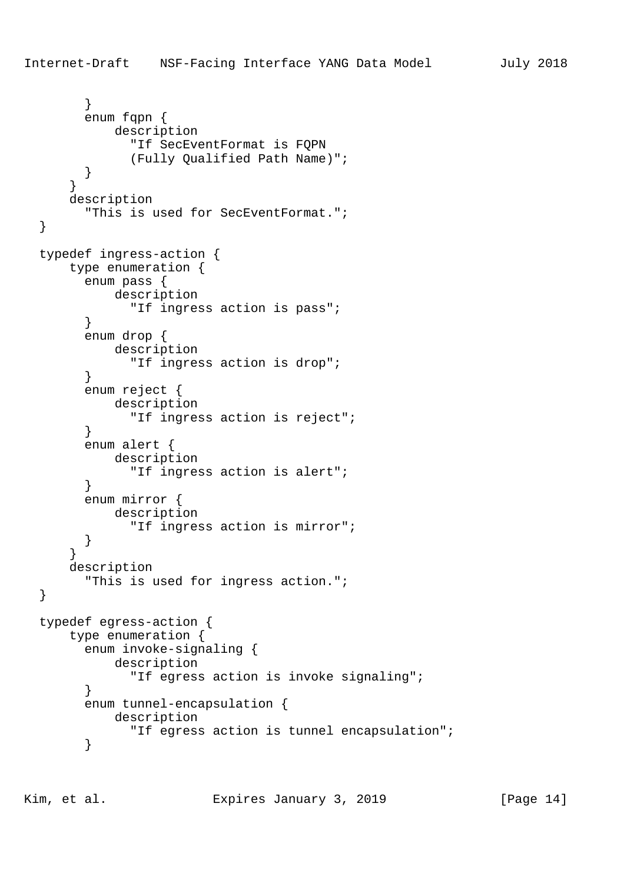```
 }
         enum fqpn {
             description
               "If SecEventFormat is FQPN
               (Fully Qualified Path Name)";
 }
       }
       description
         "This is used for SecEventFormat.";
   }
  typedef ingress-action {
       type enumeration {
         enum pass {
             description
               "If ingress action is pass";
         }
         enum drop {
             description
               "If ingress action is drop";
 }
         enum reject {
             description
               "If ingress action is reject";
 }
         enum alert {
             description
               "If ingress action is alert";
         }
         enum mirror {
             description
               "If ingress action is mirror";
         }
       }
       description
         "This is used for ingress action.";
   }
  typedef egress-action {
       type enumeration {
         enum invoke-signaling {
             description
               "If egress action is invoke signaling";
 }
         enum tunnel-encapsulation {
            description
               "If egress action is tunnel encapsulation";
         }
```
Kim, et al. Expires January 3, 2019 [Page 14]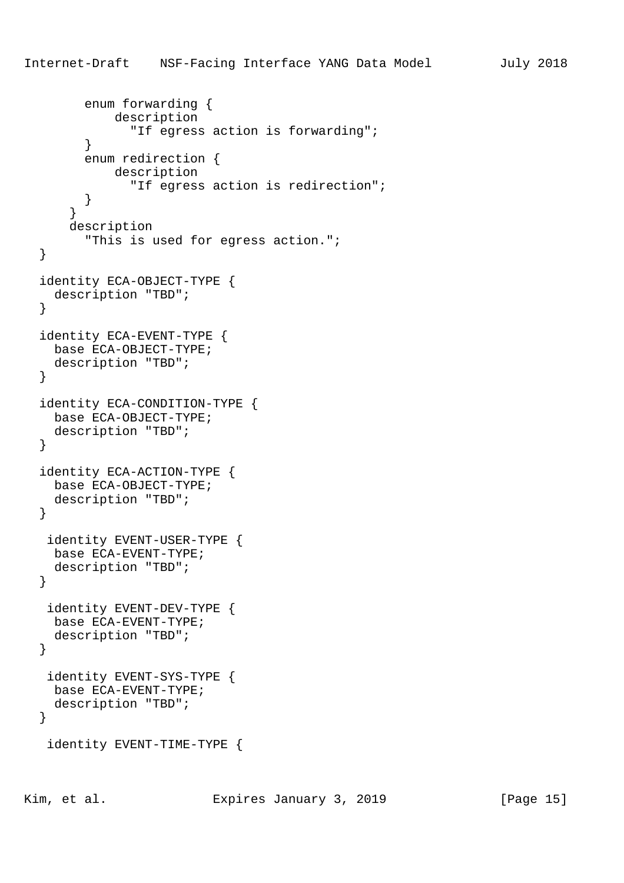enum forwarding {

```
 description
                "If egress action is forwarding";
 }
         enum redirection {
            description
               "If egress action is redirection";
         }
       }
       description
         "This is used for egress action.";
   }
  identity ECA-OBJECT-TYPE {
    description "TBD";
   }
  identity ECA-EVENT-TYPE {
    base ECA-OBJECT-TYPE;
     description "TBD";
   }
  identity ECA-CONDITION-TYPE {
    base ECA-OBJECT-TYPE;
    description "TBD";
   }
  identity ECA-ACTION-TYPE {
    base ECA-OBJECT-TYPE;
    description "TBD";
   }
   identity EVENT-USER-TYPE {
    base ECA-EVENT-TYPE;
    description "TBD";
   }
   identity EVENT-DEV-TYPE {
    base ECA-EVENT-TYPE;
     description "TBD";
   }
   identity EVENT-SYS-TYPE {
    base ECA-EVENT-TYPE;
    description "TBD";
   }
   identity EVENT-TIME-TYPE {
```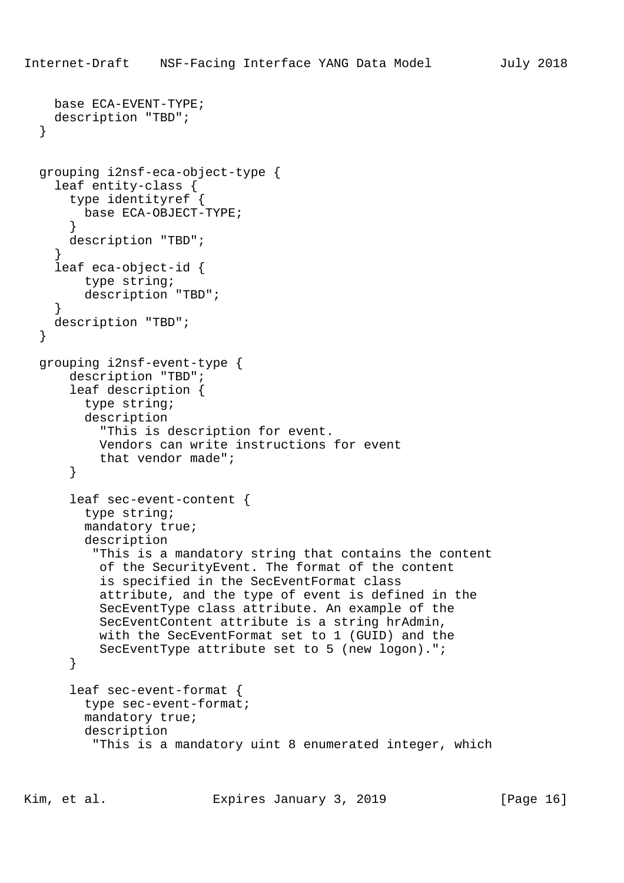```
 base ECA-EVENT-TYPE;
   description "TBD";
 }
 grouping i2nsf-eca-object-type {
   leaf entity-class {
     type identityref {
       base ECA-OBJECT-TYPE;
     }
     description "TBD";
   }
   leaf eca-object-id {
       type string;
       description "TBD";
   }
   description "TBD";
 }
 grouping i2nsf-event-type {
     description "TBD";
     leaf description {
       type string;
       description
         "This is description for event.
         Vendors can write instructions for event
         that vendor made";
     }
     leaf sec-event-content {
       type string;
       mandatory true;
       description
        "This is a mandatory string that contains the content
         of the SecurityEvent. The format of the content
         is specified in the SecEventFormat class
         attribute, and the type of event is defined in the
         SecEventType class attribute. An example of the
         SecEventContent attribute is a string hrAdmin,
         with the SecEventFormat set to 1 (GUID) and the
         SecEventType attribute set to 5 (new logon).";
     }
     leaf sec-event-format {
       type sec-event-format;
       mandatory true;
       description
        "This is a mandatory uint 8 enumerated integer, which
```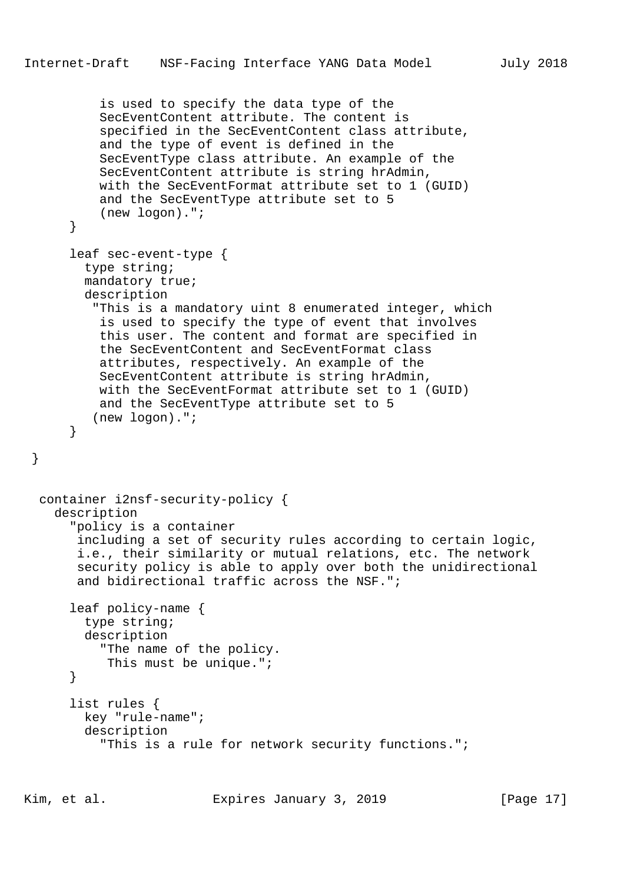```
 is used to specify the data type of the
         SecEventContent attribute. The content is
         specified in the SecEventContent class attribute,
         and the type of event is defined in the
         SecEventType class attribute. An example of the
         SecEventContent attribute is string hrAdmin,
         with the SecEventFormat attribute set to 1 (GUID)
         and the SecEventType attribute set to 5
         (new logon).";
     }
     leaf sec-event-type {
       type string;
       mandatory true;
       description
        "This is a mandatory uint 8 enumerated integer, which
         is used to specify the type of event that involves
         this user. The content and format are specified in
         the SecEventContent and SecEventFormat class
         attributes, respectively. An example of the
         SecEventContent attribute is string hrAdmin,
         with the SecEventFormat attribute set to 1 (GUID)
         and the SecEventType attribute set to 5
        (new logon).";
     }
 container i2nsf-security-policy {
   description
     "policy is a container
      including a set of security rules according to certain logic,
      i.e., their similarity or mutual relations, etc. The network
      security policy is able to apply over both the unidirectional
      and bidirectional traffic across the NSF.";
     leaf policy-name {
       type string;
       description
         "The name of the policy.
          This must be unique.";
     }
     list rules {
       key "rule-name";
       description
         "This is a rule for network security functions.";
```
}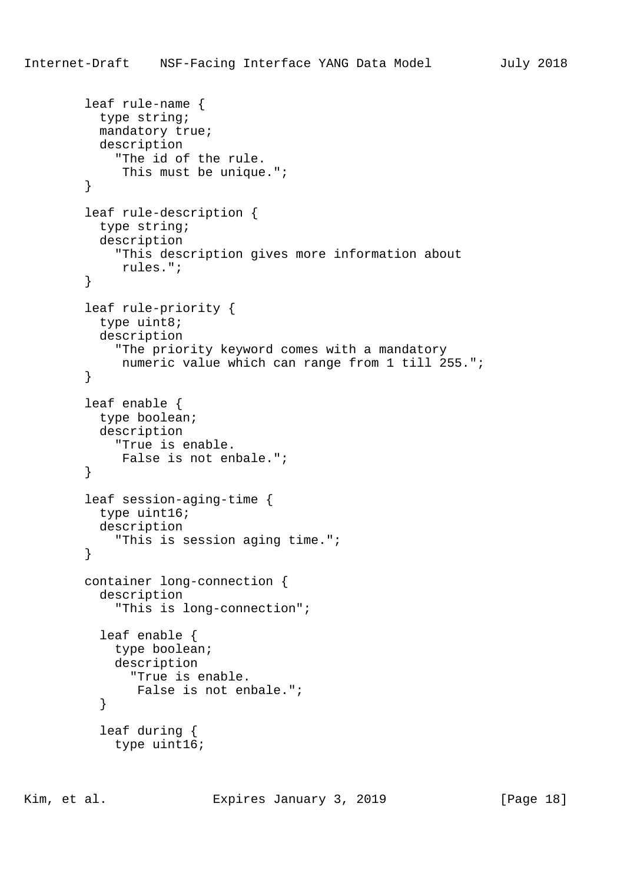```
 leaf rule-name {
   type string;
   mandatory true;
   description
     "The id of the rule.
      This must be unique.";
 leaf rule-description {
   type string;
   description
     "This description gives more information about
      rules.";
 leaf rule-priority {
   type uint8;
   description
     "The priority keyword comes with a mandatory
      numeric value which can range from 1 till 255.";
 leaf enable {
  type boolean;
   description
     "True is enable.
      False is not enbale.";
 leaf session-aging-time {
  type uint16;
   description
     "This is session aging time.";
 container long-connection {
   description
     "This is long-connection";
   leaf enable {
     type boolean;
```
}

}

}

}

}

}

description

 leaf during { type uint16;

"True is enable.

False is not enbale.";

Kim, et al. Expires January 3, 2019 [Page 18]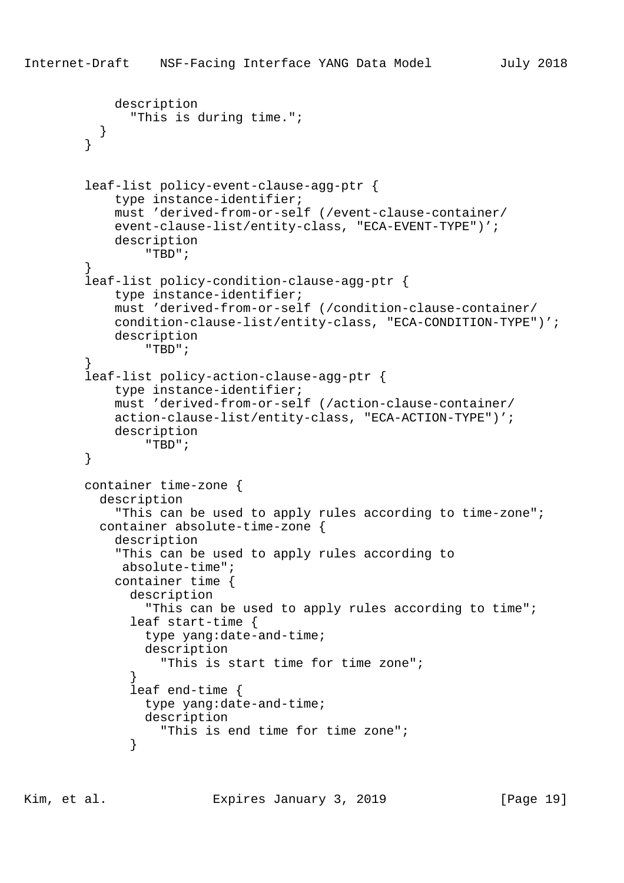```
 description
               "This is during time.";
           }
         }
         leaf-list policy-event-clause-agg-ptr {
             type instance-identifier;
             must 'derived-from-or-self (/event-clause-container/
             event-clause-list/entity-class, "ECA-EVENT-TYPE")';
             description
                 "TBD";
 }
         leaf-list policy-condition-clause-agg-ptr {
             type instance-identifier;
             must 'derived-from-or-self (/condition-clause-container/
             condition-clause-list/entity-class, "ECA-CONDITION-TYPE")';
             description
                 "TBD";
 }
         leaf-list policy-action-clause-agg-ptr {
             type instance-identifier;
            must 'derived-from-or-self (/action-clause-container/
             action-clause-list/entity-class, "ECA-ACTION-TYPE")';
             description
                 "TBD";
         }
        container time-zone {
           description
             "This can be used to apply rules according to time-zone";
           container absolute-time-zone {
             description
             "This can be used to apply rules according to
              absolute-time";
             container time {
               description
                 "This can be used to apply rules according to time";
               leaf start-time {
                 type yang:date-and-time;
                 description
                   "This is start time for time zone";
 }
               leaf end-time {
                 type yang:date-and-time;
                 description
                   "This is end time for time zone";
 }
```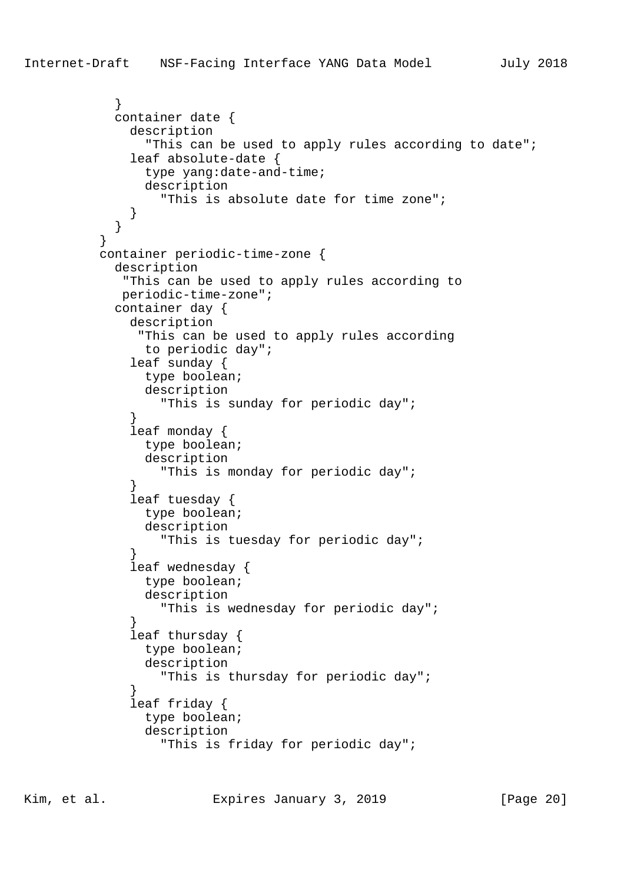```
 }
            container date {
              description
                "This can be used to apply rules according to date";
              leaf absolute-date {
                type yang:date-and-time;
                description
                  "This is absolute date for time zone";
 }
 }
 }
          container periodic-time-zone {
            description
             "This can be used to apply rules according to
             periodic-time-zone";
            container day {
              description
               "This can be used to apply rules according
               to periodic day";
              leaf sunday {
                type boolean;
                description
                  "This is sunday for periodic day";
 }
              leaf monday {
                type boolean;
                description
                  "This is monday for periodic day";
 }
              leaf tuesday {
                type boolean;
                description
                  "This is tuesday for periodic day";
 }
              leaf wednesday {
                type boolean;
                description
                  "This is wednesday for periodic day";
 }
              leaf thursday {
                type boolean;
                description
                  "This is thursday for periodic day";
 }
              leaf friday {
                type boolean;
                description
                  "This is friday for periodic day";
```
Kim, et al. Expires January 3, 2019 [Page 20]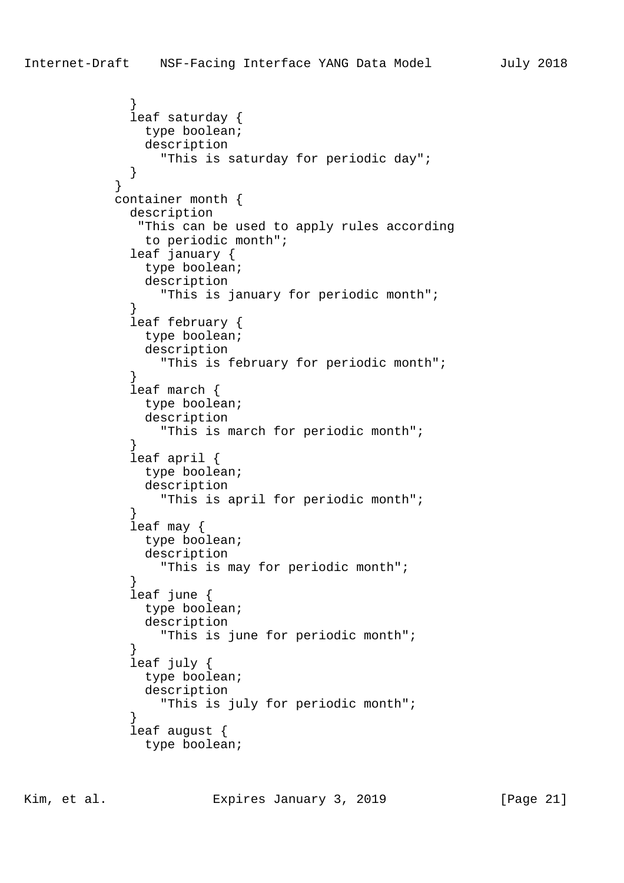```
 }
             leaf saturday {
               type boolean;
               description
                 "This is saturday for periodic day";
 }
 }
            container month {
             description
              "This can be used to apply rules according
               to periodic month";
             leaf january {
               type boolean;
               description
                 "This is january for periodic month";
 }
             leaf february {
               type boolean;
               description
                 "This is february for periodic month";
 }
             leaf march {
               type boolean;
               description
                 "This is march for periodic month";
 }
             leaf april {
               type boolean;
               description
                 "This is april for periodic month";
 }
             leaf may {
               type boolean;
               description
                 "This is may for periodic month";
 }
             leaf june {
               type boolean;
               description
                 "This is june for periodic month";
 }
             leaf july {
               type boolean;
               description
                 "This is july for periodic month";
 }
             leaf august {
               type boolean;
```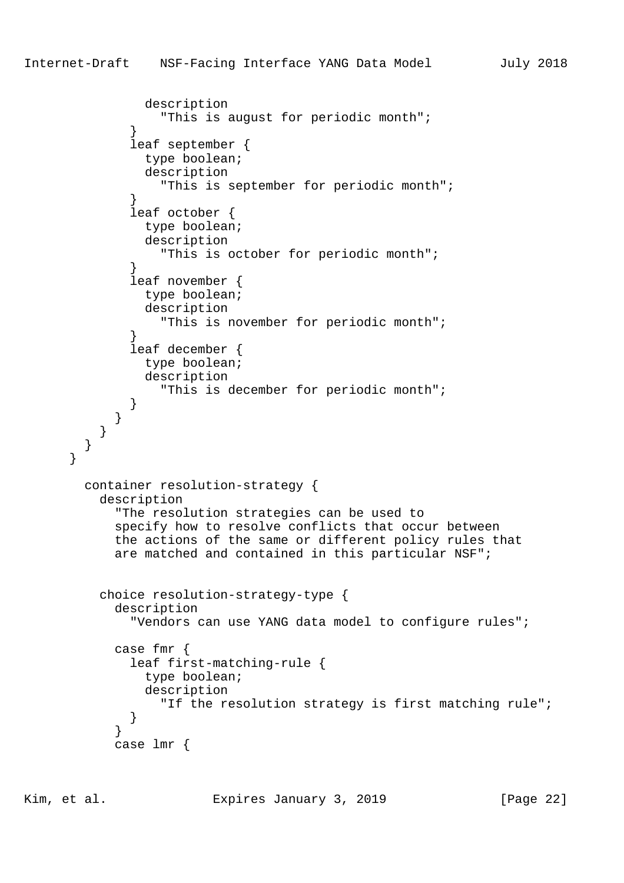```
 description
                  "This is august for periodic month";
 }
              leaf september {
                type boolean;
                description
                  "This is september for periodic month";
 }
              leaf october {
                type boolean;
                description
                  "This is october for periodic month";
 }
              leaf november {
                type boolean;
                description
                  "This is november for periodic month";
 }
              leaf december {
                type boolean;
                description
                  "This is december for periodic month";
 }
            }
          }
        }
      }
        container resolution-strategy {
          description
            "The resolution strategies can be used to
            specify how to resolve conflicts that occur between
            the actions of the same or different policy rules that
           are matched and contained in this particular NSF";
          choice resolution-strategy-type {
            description
              "Vendors can use YANG data model to configure rules";
            case fmr {
              leaf first-matching-rule {
                type boolean;
                description
                  "If the resolution strategy is first matching rule";
 }
 }
            case lmr {
```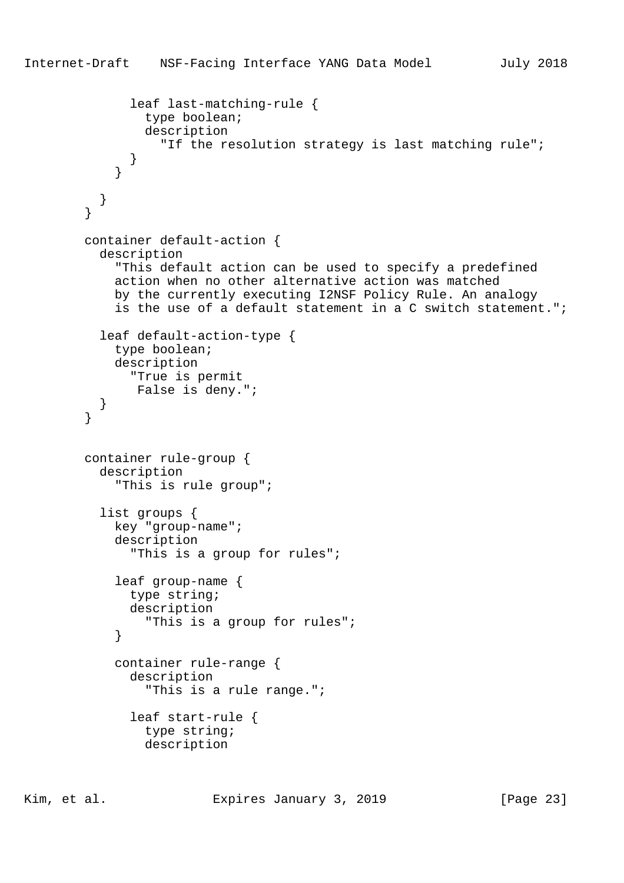```
 leaf last-matching-rule {
                 type boolean;
                 description
                   "If the resolution strategy is last matching rule";
 }
 }
        \begin{matrix} \end{matrix} }
        container default-action {
          description
             "This default action can be used to specify a predefined
             action when no other alternative action was matched
             by the currently executing I2NSF Policy Rule. An analogy
             is the use of a default statement in a C switch statement.";
           leaf default-action-type {
             type boolean;
            description
              "True is permit
               False is deny.";
 }
 }
        container rule-group {
          description
             "This is rule group";
           list groups {
             key "group-name";
             description
               "This is a group for rules";
             leaf group-name {
               type string;
               description
                 "This is a group for rules";
 }
             container rule-range {
               description
                 "This is a rule range.";
               leaf start-rule {
                 type string;
                 description
```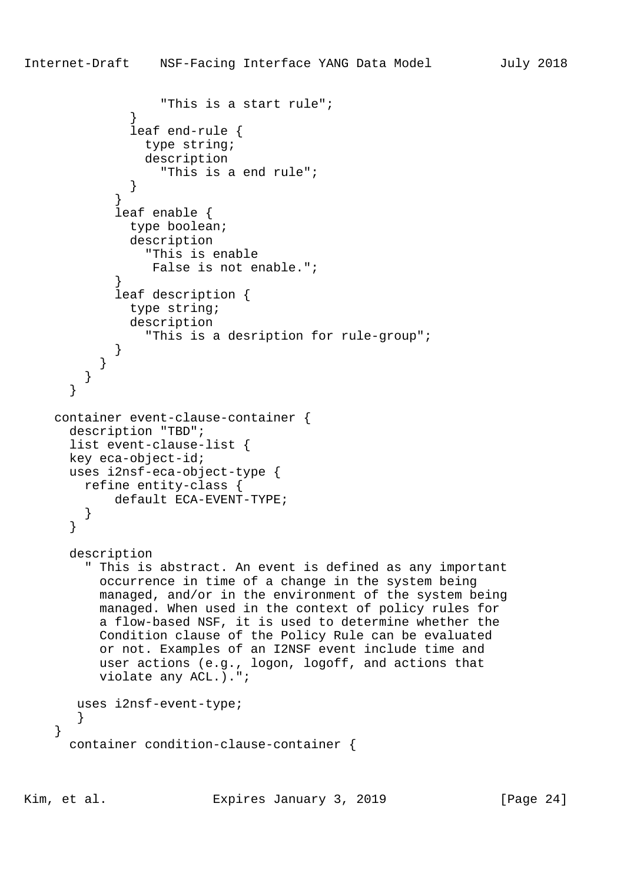"This is a start rule";

```
 }
              leaf end-rule {
                type string;
                description
                  "This is a end rule";
 }
 }
            leaf enable {
              type boolean;
              description
                "This is enable
                 False is not enable.";
 }
            leaf description {
              type string;
              description
                 "This is a desription for rule-group";
 }
          }
        }
       }
    container event-clause-container {
      description "TBD";
      list event-clause-list {
      key eca-object-id;
      uses i2nsf-eca-object-type {
        refine entity-class {
            default ECA-EVENT-TYPE;
        }
       }
      description
        " This is abstract. An event is defined as any important
          occurrence in time of a change in the system being
          managed, and/or in the environment of the system being
          managed. When used in the context of policy rules for
          a flow-based NSF, it is used to determine whether the
          Condition clause of the Policy Rule can be evaluated
          or not. Examples of an I2NSF event include time and
          user actions (e.g., logon, logoff, and actions that
          violate any ACL.).";
       uses i2nsf-event-type;
       }
```

```
 }
   container condition-clause-container {
```
Kim, et al. Expires January 3, 2019 [Page 24]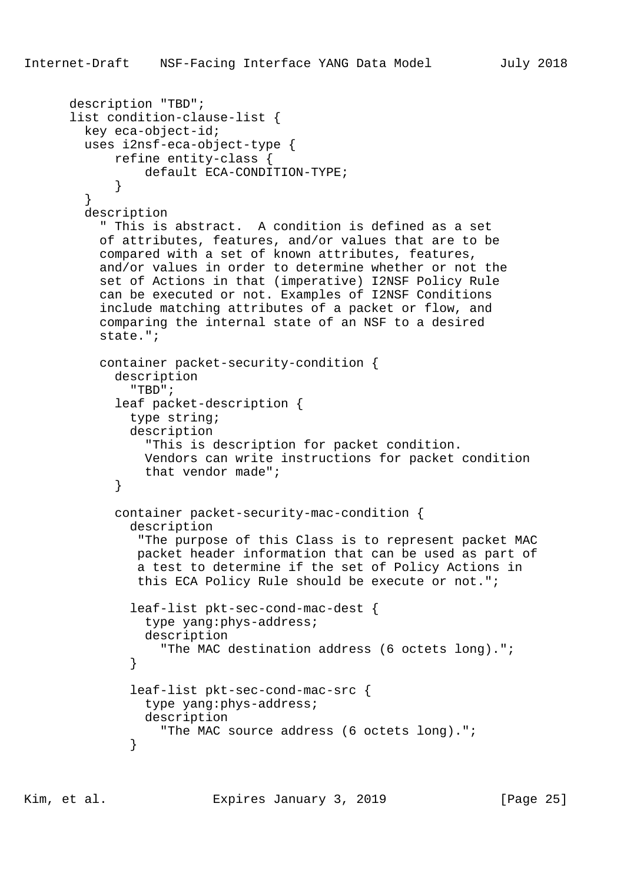```
 description "TBD";
      list condition-clause-list {
        key eca-object-id;
        uses i2nsf-eca-object-type {
            refine entity-class {
                 default ECA-CONDITION-TYPE;
 }
         }
        description
          " This is abstract. A condition is defined as a set
          of attributes, features, and/or values that are to be
          compared with a set of known attributes, features,
          and/or values in order to determine whether or not the
          set of Actions in that (imperative) I2NSF Policy Rule
          can be executed or not. Examples of I2NSF Conditions
          include matching attributes of a packet or flow, and
          comparing the internal state of an NSF to a desired
          state.";
          container packet-security-condition {
            description
               "TBD";
            leaf packet-description {
              type string;
              description
                 "This is description for packet condition.
                Vendors can write instructions for packet condition
                that vendor made";
 }
            container packet-security-mac-condition {
              description
                "The purpose of this Class is to represent packet MAC
               packet header information that can be used as part of
               a test to determine if the set of Policy Actions in
                this ECA Policy Rule should be execute or not.";
               leaf-list pkt-sec-cond-mac-dest {
                 type yang:phys-address;
                description
                   "The MAC destination address (6 octets long).";
 }
              leaf-list pkt-sec-cond-mac-src {
                type yang:phys-address;
                description
                   "The MAC source address (6 octets long).";
 }
```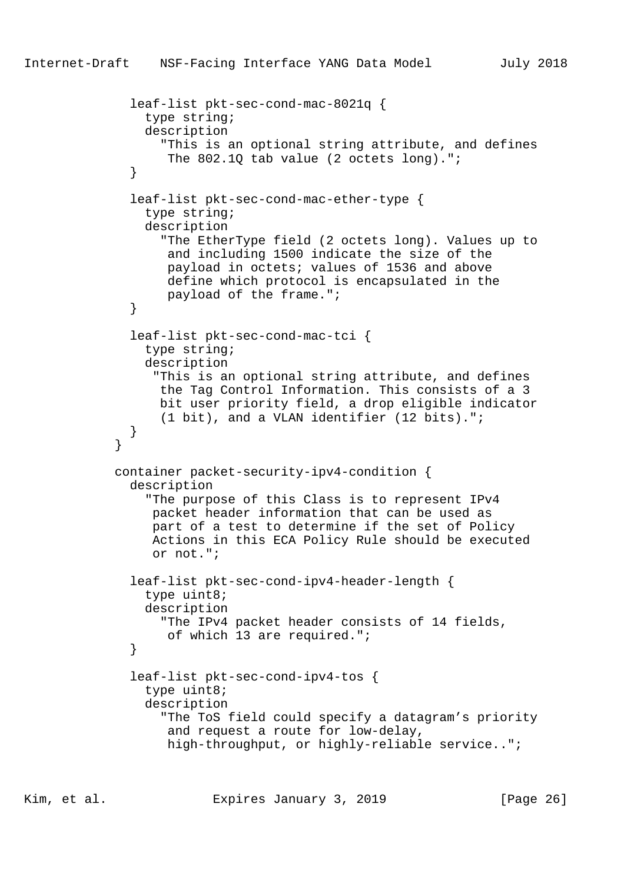```
 leaf-list pkt-sec-cond-mac-8021q {
                type string;
                description
                  "This is an optional string attribute, and defines
                  The 802.1Q tab value (2 octets long).";
 }
              leaf-list pkt-sec-cond-mac-ether-type {
                type string;
                description
                  "The EtherType field (2 octets long). Values up to
                   and including 1500 indicate the size of the
                   payload in octets; values of 1536 and above
                   define which protocol is encapsulated in the
                   payload of the frame.";
 }
              leaf-list pkt-sec-cond-mac-tci {
                type string;
                description
                  "This is an optional string attribute, and defines
                  the Tag Control Information. This consists of a 3
                  bit user priority field, a drop eligible indicator
                  (1 bit), and a VLAN identifier (12 bits).";
 }
 }
            container packet-security-ipv4-condition {
              description
                "The purpose of this Class is to represent IPv4
                 packet header information that can be used as
                 part of a test to determine if the set of Policy
                 Actions in this ECA Policy Rule should be executed
                 or not.";
              leaf-list pkt-sec-cond-ipv4-header-length {
                type uint8;
                description
                  "The IPv4 packet header consists of 14 fields,
                   of which 13 are required.";
 }
              leaf-list pkt-sec-cond-ipv4-tos {
                type uint8;
                description
                  "The ToS field could specify a datagram's priority
                   and request a route for low-delay,
                   high-throughput, or highly-reliable service..";
```
Kim, et al. Expires January 3, 2019 [Page 26]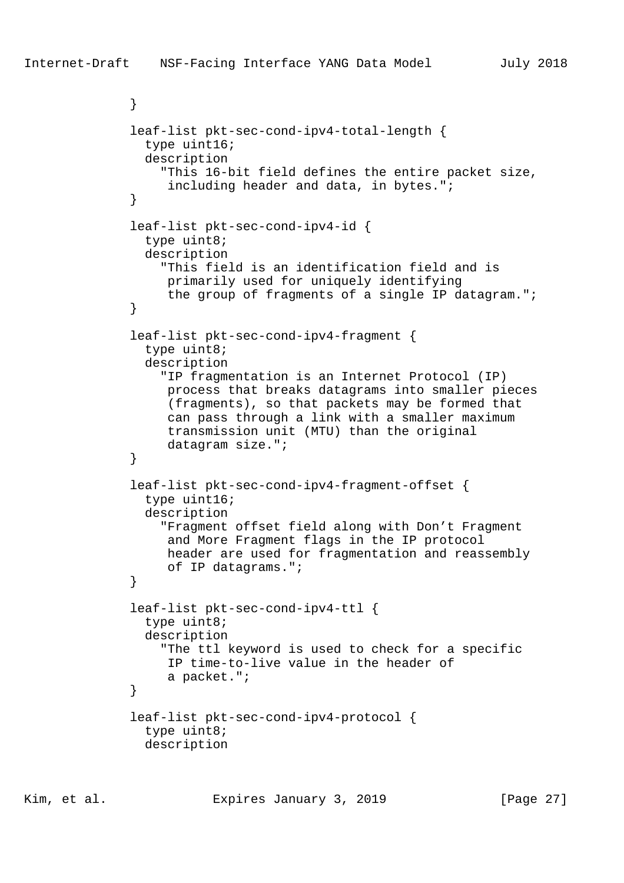```
 }
              leaf-list pkt-sec-cond-ipv4-total-length {
                type uint16;
                description
                  "This 16-bit field defines the entire packet size,
                   including header and data, in bytes.";
 }
              leaf-list pkt-sec-cond-ipv4-id {
                type uint8;
                description
                  "This field is an identification field and is
                   primarily used for uniquely identifying
             the group of fragments of a single IP datagram.";<br>}
 }
              leaf-list pkt-sec-cond-ipv4-fragment {
                type uint8;
                description
                  "IP fragmentation is an Internet Protocol (IP)
                   process that breaks datagrams into smaller pieces
                   (fragments), so that packets may be formed that
                   can pass through a link with a smaller maximum
                   transmission unit (MTU) than the original
             datagram size.";<br>}
 }
              leaf-list pkt-sec-cond-ipv4-fragment-offset {
                type uint16;
                description
                  "Fragment offset field along with Don't Fragment
                   and More Fragment flags in the IP protocol
                   header are used for fragmentation and reassembly
                   of IP datagrams.";
 }
              leaf-list pkt-sec-cond-ipv4-ttl {
                type uint8;
                description
                  "The ttl keyword is used to check for a specific
                   IP time-to-live value in the header of
                   a packet.";
 }
              leaf-list pkt-sec-cond-ipv4-protocol {
                type uint8;
                description
```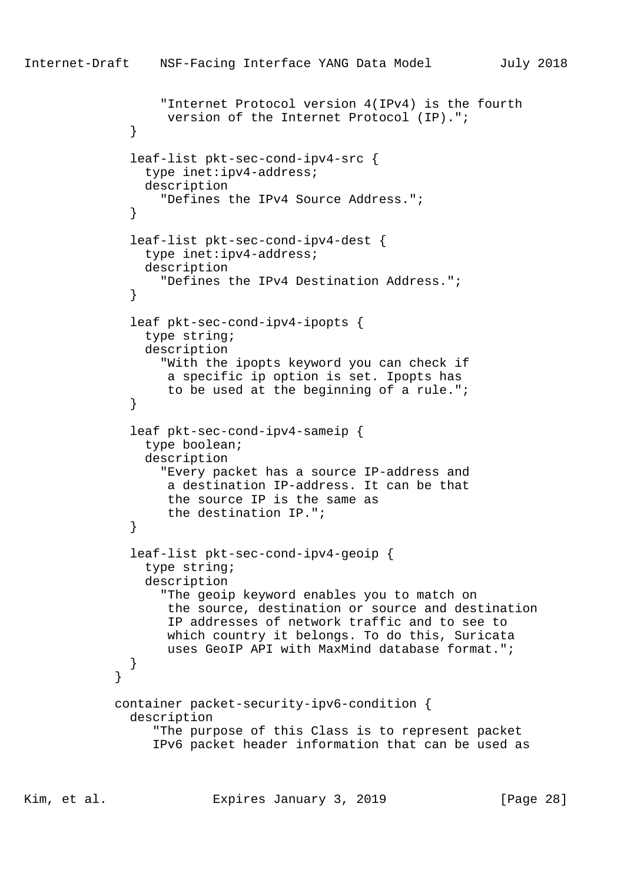```
 "Internet Protocol version 4(IPv4) is the fourth
                   version of the Internet Protocol (IP).";
 }
              leaf-list pkt-sec-cond-ipv4-src {
                type inet:ipv4-address;
                description
                  "Defines the IPv4 Source Address.";
 }
              leaf-list pkt-sec-cond-ipv4-dest {
                type inet:ipv4-address;
                description
                  "Defines the IPv4 Destination Address.";
 }
              leaf pkt-sec-cond-ipv4-ipopts {
                type string;
                description
                  "With the ipopts keyword you can check if
                   a specific ip option is set. Ipopts has
                   to be used at the beginning of a rule.";
 }
              leaf pkt-sec-cond-ipv4-sameip {
                type boolean;
                description
                  "Every packet has a source IP-address and
                   a destination IP-address. It can be that
                   the source IP is the same as
                   the destination IP.";
 }
              leaf-list pkt-sec-cond-ipv4-geoip {
                type string;
                description
                  "The geoip keyword enables you to match on
                   the source, destination or source and destination
                   IP addresses of network traffic and to see to
                   which country it belongs. To do this, Suricata
                   uses GeoIP API with MaxMind database format.";
 }
 }
            container packet-security-ipv6-condition {
              description
                 "The purpose of this Class is to represent packet
                 IPv6 packet header information that can be used as
```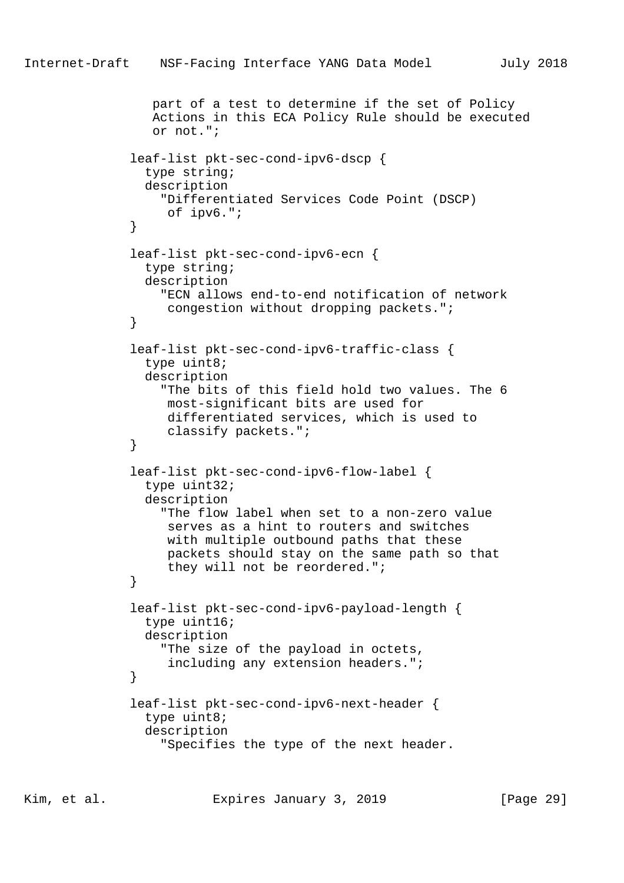```
 part of a test to determine if the set of Policy
                 Actions in this ECA Policy Rule should be executed
                 or not.";
              leaf-list pkt-sec-cond-ipv6-dscp {
                type string;
                description
                  "Differentiated Services Code Point (DSCP)
                   of ipv6.";
 }
              leaf-list pkt-sec-cond-ipv6-ecn {
                type string;
                description
                  "ECN allows end-to-end notification of network
                   congestion without dropping packets.";
 }
              leaf-list pkt-sec-cond-ipv6-traffic-class {
                type uint8;
                description
                  "The bits of this field hold two values. The 6
                   most-significant bits are used for
                   differentiated services, which is used to
                   classify packets.";
 }
              leaf-list pkt-sec-cond-ipv6-flow-label {
                type uint32;
                description
                  "The flow label when set to a non-zero value
                   serves as a hint to routers and switches
                   with multiple outbound paths that these
                   packets should stay on the same path so that
                   they will not be reordered.";
 }
              leaf-list pkt-sec-cond-ipv6-payload-length {
                type uint16;
                description
                  "The size of the payload in octets,
                   including any extension headers.";
 }
              leaf-list pkt-sec-cond-ipv6-next-header {
                type uint8;
                description
                  "Specifies the type of the next header.
```
Kim, et al. Expires January 3, 2019 [Page 29]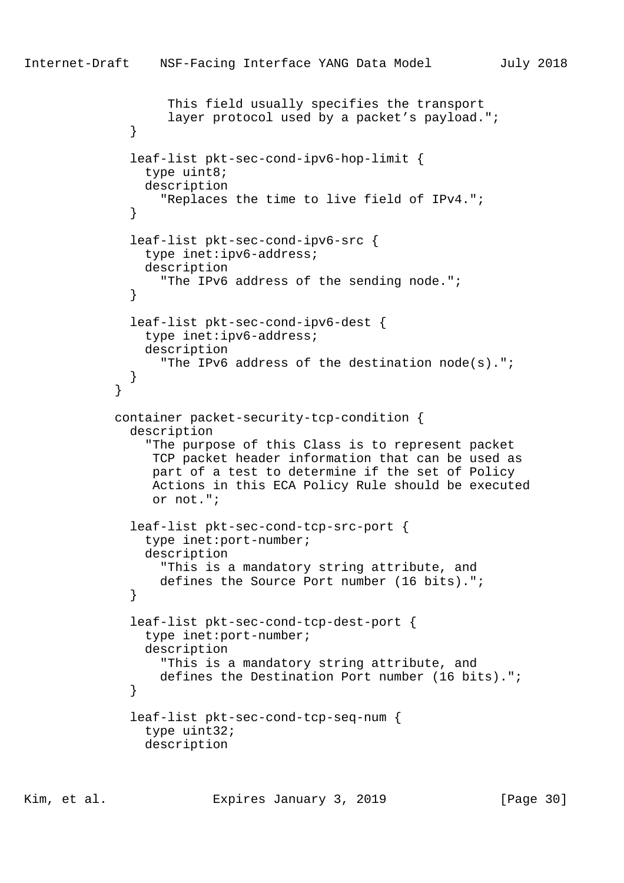```
 This field usually specifies the transport
                  layer protocol used by a packet's payload.";
 }
              leaf-list pkt-sec-cond-ipv6-hop-limit {
                type uint8;
                description
                  "Replaces the time to live field of IPv4.";
 }
              leaf-list pkt-sec-cond-ipv6-src {
                type inet:ipv6-address;
                description
                  "The IPv6 address of the sending node.";
 }
              leaf-list pkt-sec-cond-ipv6-dest {
                type inet:ipv6-address;
                description
                  "The IPv6 address of the destination node(s).";
 }
 }
            container packet-security-tcp-condition {
              description
                "The purpose of this Class is to represent packet
                 TCP packet header information that can be used as
                 part of a test to determine if the set of Policy
                 Actions in this ECA Policy Rule should be executed
                 or not.";
              leaf-list pkt-sec-cond-tcp-src-port {
                type inet:port-number;
                description
                  "This is a mandatory string attribute, and
                 defines the Source Port number (16 bits).";
 }
              leaf-list pkt-sec-cond-tcp-dest-port {
                type inet:port-number;
                description
                  "This is a mandatory string attribute, and
                  defines the Destination Port number (16 bits).";
 }
              leaf-list pkt-sec-cond-tcp-seq-num {
                type uint32;
                description
```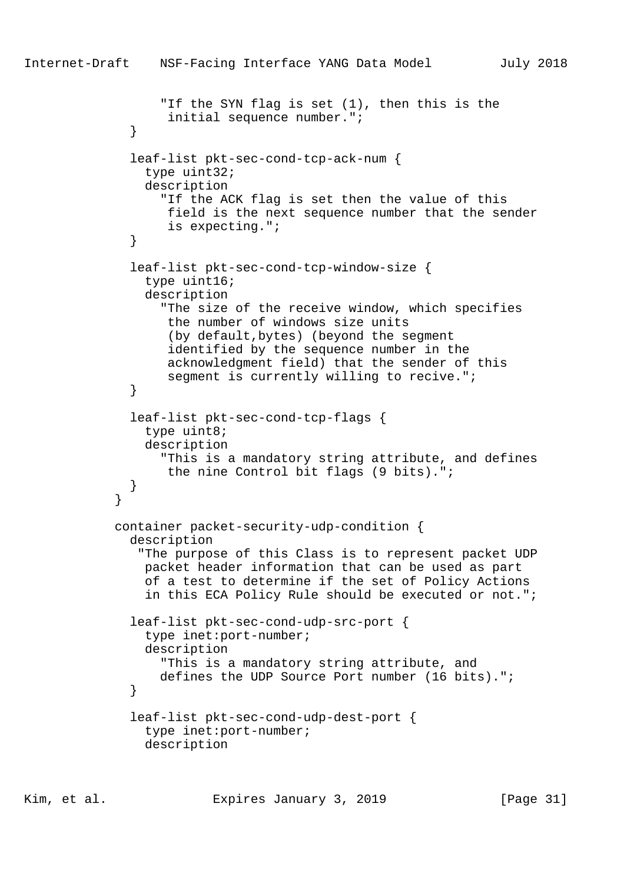```
Internet-Draft NSF-Facing Interface YANG Data Model July 2018
                  "If the SYN flag is set (1), then this is the
                   initial sequence number.";
 }
              leaf-list pkt-sec-cond-tcp-ack-num {
                type uint32;
                description
                  "If the ACK flag is set then the value of this
                   field is the next sequence number that the sender
             is expecting.";<br>}
 }
              leaf-list pkt-sec-cond-tcp-window-size {
                type uint16;
                description
                  "The size of the receive window, which specifies
                   the number of windows size units
                   (by default,bytes) (beyond the segment
                   identified by the sequence number in the
                   acknowledgment field) that the sender of this
                  segment is currently willing to recive.";
 }
              leaf-list pkt-sec-cond-tcp-flags {
                type uint8;
                description
                  "This is a mandatory string attribute, and defines
                   the nine Control bit flags (9 bits).";
 }
 }
            container packet-security-udp-condition {
              description
               "The purpose of this Class is to represent packet UDP
                packet header information that can be used as part
                of a test to determine if the set of Policy Actions
                in this ECA Policy Rule should be executed or not.";
              leaf-list pkt-sec-cond-udp-src-port {
                type inet:port-number;
                description
                  "This is a mandatory string attribute, and
                  defines the UDP Source Port number (16 bits).";
 }
              leaf-list pkt-sec-cond-udp-dest-port {
                type inet:port-number;
                description
```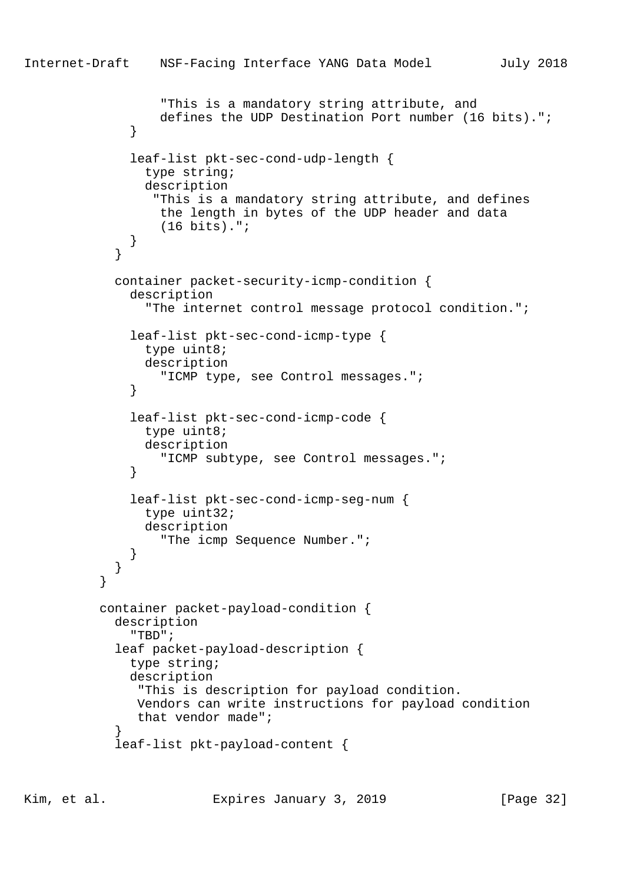```
 "This is a mandatory string attribute, and
                  defines the UDP Destination Port number (16 bits).";
 }
              leaf-list pkt-sec-cond-udp-length {
                type string;
                description
                 "This is a mandatory string attribute, and defines
                 the length in bytes of the UDP header and data
                  (16 bits).";
 }
 }
            container packet-security-icmp-condition {
              description
                "The internet control message protocol condition.";
              leaf-list pkt-sec-cond-icmp-type {
                type uint8;
                description
                  "ICMP type, see Control messages.";
 }
              leaf-list pkt-sec-cond-icmp-code {
               type uint8;
                description
                  "ICMP subtype, see Control messages.";
 }
              leaf-list pkt-sec-cond-icmp-seg-num {
                type uint32;
                description
                  "The icmp Sequence Number.";
 }
 }
 }
          container packet-payload-condition {
            description
              "TBD";
            leaf packet-payload-description {
              type string;
              description
               "This is description for payload condition.
               Vendors can write instructions for payload condition
               that vendor made";
 }
            leaf-list pkt-payload-content {
```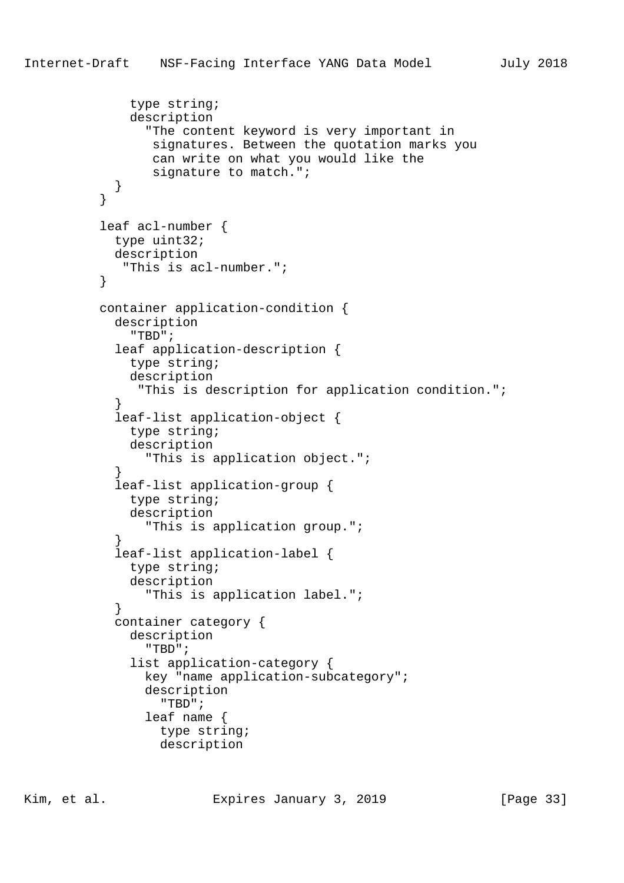```
 type string;
              description
                 "The content keyword is very important in
                 signatures. Between the quotation marks you
                 can write on what you would like the
                  signature to match.";
 }
          leaf acl-number {
            type uint32;
            description
             "This is acl-number.";
          container application-condition {
            description
               "TBD";
            leaf application-description {
              type string;
              description
               "This is description for application condition.";
 }
            leaf-list application-object {
              type string;
              description
                 "This is application object.";
 }
            leaf-list application-group {
              type string;
              description
                 "This is application group.";
 }
            leaf-list application-label {
              type string;
              description
                 "This is application label.";
 }
            container category {
              description
                 "TBD";
               list application-category {
                key "name application-subcategory";
                description
                   "TBD";
                 leaf name {
```
}

}

 type string; description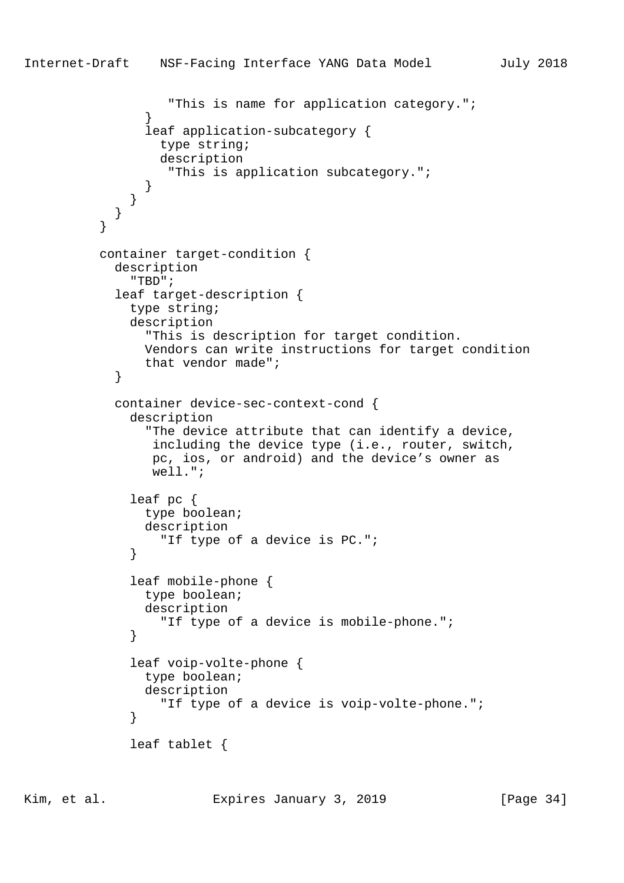```
 "This is name for application category.";
 }
                leaf application-subcategory {
                 type string;
                 description
                  "This is application subcategory.";
 }
 }
 }
 }
          container target-condition {
            description
              "TBD";
            leaf target-description {
              type string;
             description
                "This is description for target condition.
               Vendors can write instructions for target condition
               that vendor made";
 }
            container device-sec-context-cond {
             description
                "The device attribute that can identify a device,
                including the device type (i.e., router, switch,
                pc, ios, or android) and the device's owner as
                well.";
              leaf pc {
               type boolean;
               description
                 "If type of a device is PC.";
 }
              leaf mobile-phone {
               type boolean;
               description
                  "If type of a device is mobile-phone.";
 }
              leaf voip-volte-phone {
               type boolean;
               description
                  "If type of a device is voip-volte-phone.";
 }
              leaf tablet {
```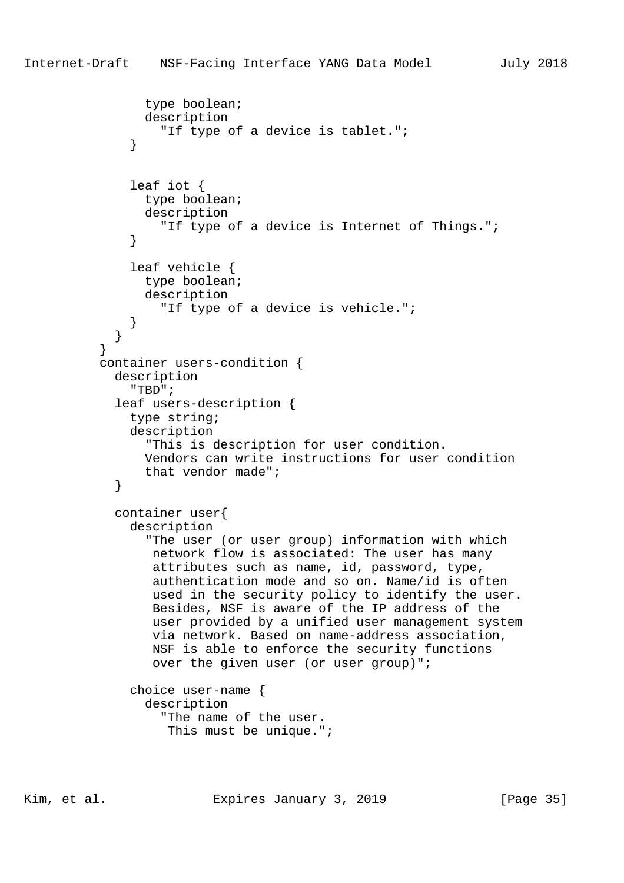```
 type boolean;
                description
                  "If type of a device is tablet.";
 }
              leaf iot {
                type boolean;
                description
                  "If type of a device is Internet of Things.";
 }
              leaf vehicle {
                type boolean;
                description
                  "If type of a device is vehicle.";
 }
 }
 }
          container users-condition {
            description
              "TBD";
            leaf users-description {
              type string;
              description
                "This is description for user condition.
                Vendors can write instructions for user condition
                that vendor made";
 }
            container user{
              description
                "The user (or user group) information with which
                 network flow is associated: The user has many
                 attributes such as name, id, password, type,
                 authentication mode and so on. Name/id is often
                 used in the security policy to identify the user.
                 Besides, NSF is aware of the IP address of the
                 user provided by a unified user management system
                 via network. Based on name-address association,
                 NSF is able to enforce the security functions
                 over the given user (or user group)";
              choice user-name {
                description
                  "The name of the user.
                   This must be unique.";
```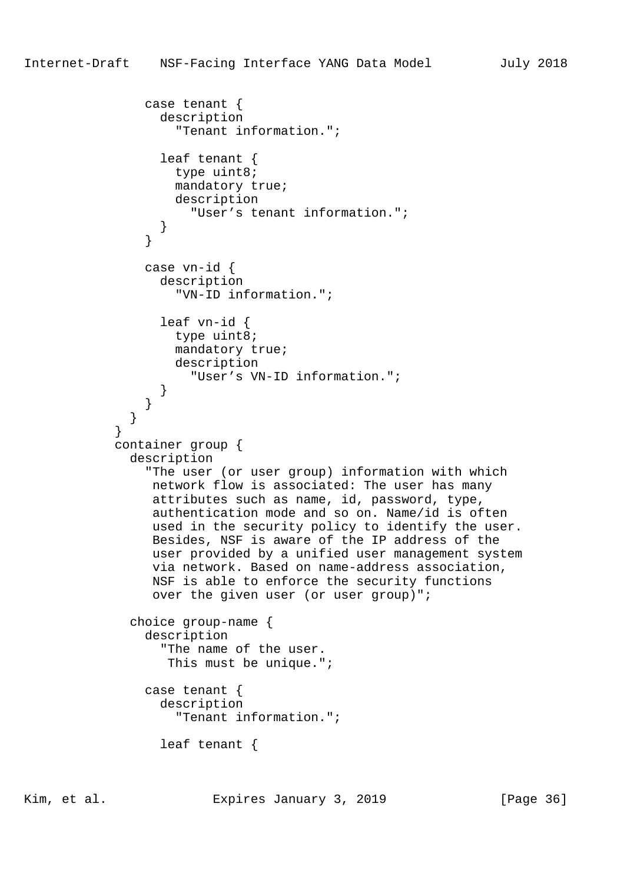```
 case tenant {
       description
         "Tenant information.";
       leaf tenant {
         type uint8;
         mandatory true;
         description
            "User's tenant information.";
     case vn-id {
       description
         "VN-ID information.";
       leaf vn-id {
         type uint8;
         mandatory true;
         description
            "User's VN-ID information.";
 container group {
```

```
 description
```
 } }

 } } } }

> "The user (or user group) information with which network flow is associated: The user has many attributes such as name, id, password, type, authentication mode and so on. Name/id is often used in the security policy to identify the user. Besides, NSF is aware of the IP address of the user provided by a unified user management system via network. Based on name-address association, NSF is able to enforce the security functions over the given user (or user group)";

```
 choice group-name {
   description
     "The name of the user.
      This must be unique.";
   case tenant {
     description
```

```
 "Tenant information.";
```
leaf tenant {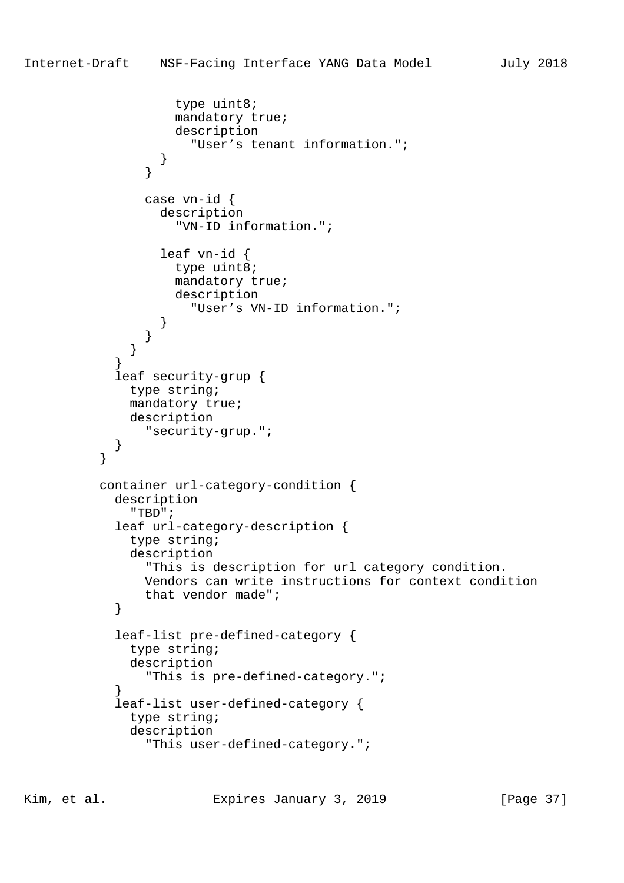```
 type uint8;
                   mandatory true;
                   description
                     "User's tenant information.";
 }
 }
               case vn-id {
                 description
                   "VN-ID information.";
                 leaf vn-id {
                  type uint8;
                   mandatory true;
                   description
                     "User's VN-ID information.";
 }
 }
 }
 }
           leaf security-grup {
             type string;
             mandatory true;
             description
               "security-grup.";
 }
 }
          container url-category-condition {
           description
             "TBD";
           leaf url-category-description {
             type string;
             description
               "This is description for url category condition.
               Vendors can write instructions for context condition
          that vendor made";<br>}
 }
           leaf-list pre-defined-category {
             type string;
             description
               "This is pre-defined-category.";
 }
           leaf-list user-defined-category {
             type string;
             description
               "This user-defined-category.";
```
Kim, et al. Expires January 3, 2019 [Page 37]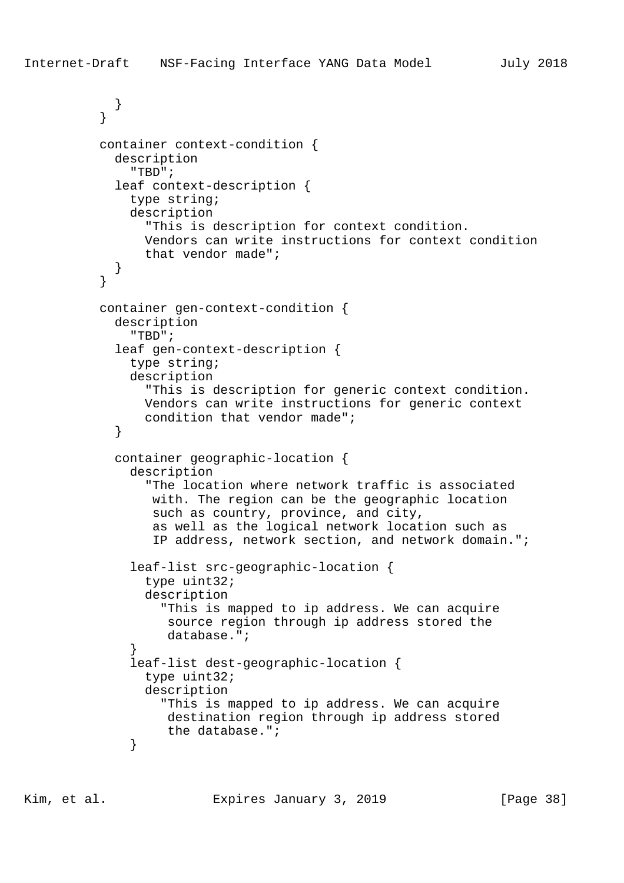```
 }
 }
          container context-condition {
            description
              "TBD";
            leaf context-description {
              type string;
              description
                "This is description for context condition.
                Vendors can write instructions for context condition
                that vendor made";
 }
 }
          container gen-context-condition {
            description
              "TBD";
            leaf gen-context-description {
              type string;
              description
                "This is description for generic context condition.
                Vendors can write instructions for generic context
           condition that vendor made";<br>}
 }
            container geographic-location {
              description
                "The location where network traffic is associated
                 with. The region can be the geographic location
                 such as country, province, and city,
                 as well as the logical network location such as
                 IP address, network section, and network domain.";
              leaf-list src-geographic-location {
                type uint32;
                description
                  "This is mapped to ip address. We can acquire
                   source region through ip address stored the
                   database.";
 }
              leaf-list dest-geographic-location {
                type uint32;
                description
                  "This is mapped to ip address. We can acquire
                   destination region through ip address stored
                   the database.";
 }
```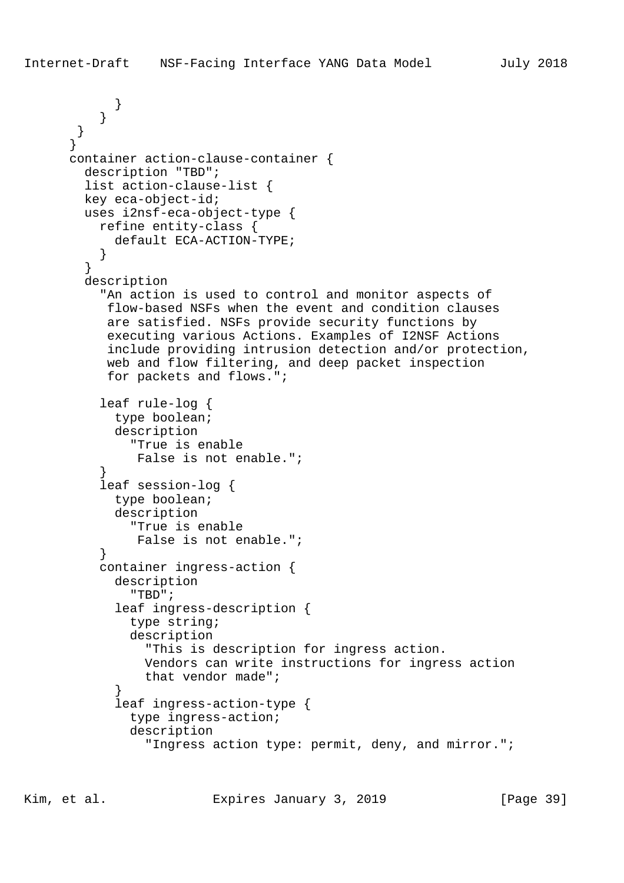```
 }
 }
       }
       }
      container action-clause-container {
        description "TBD";
        list action-clause-list {
        key eca-object-id;
        uses i2nsf-eca-object-type {
          refine entity-class {
            default ECA-ACTION-TYPE;
 }
 }
        description
           "An action is used to control and monitor aspects of
           flow-based NSFs when the event and condition clauses
           are satisfied. NSFs provide security functions by
           executing various Actions. Examples of I2NSF Actions
           include providing intrusion detection and/or protection,
           web and flow filtering, and deep packet inspection
           for packets and flows.";
           leaf rule-log {
            type boolean;
            description
               "True is enable
               False is not enable.";
 }
           leaf session-log {
            type boolean;
            description
               "True is enable
               False is not enable.";
 }
          container ingress-action {
            description
               "TBD";
            leaf ingress-description {
              type string;
              description
                "This is description for ingress action.
                Vendors can write instructions for ingress action
                that vendor made";
 }
            leaf ingress-action-type {
              type ingress-action;
              description
                 "Ingress action type: permit, deny, and mirror.";
```
Kim, et al. Expires January 3, 2019 [Page 39]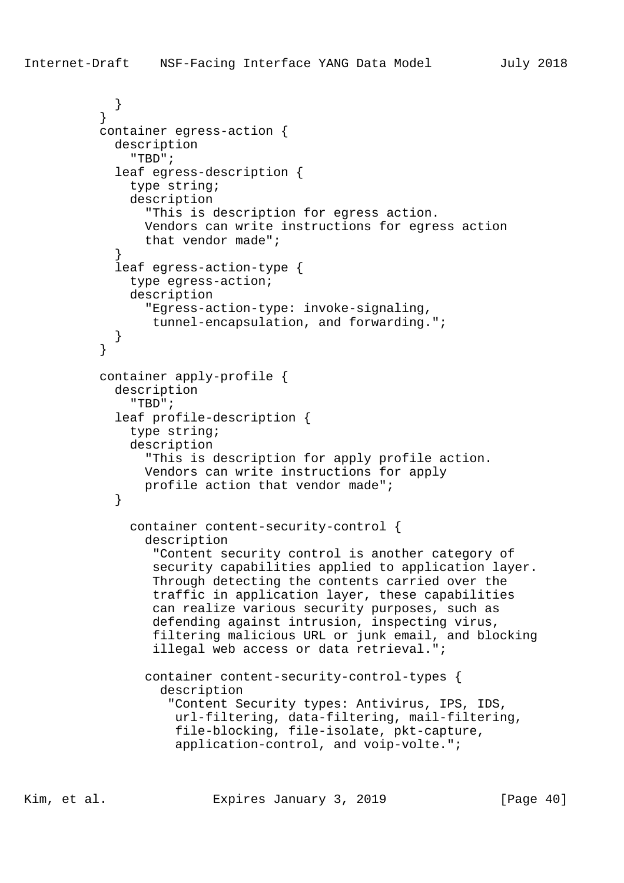```
 }
 }
          container egress-action {
            description
               "TBD";
            leaf egress-description {
              type string;
              description
                "This is description for egress action.
                Vendors can write instructions for egress action
                that vendor made";
 }
            leaf egress-action-type {
              type egress-action;
              description
                "Egress-action-type: invoke-signaling,
                 tunnel-encapsulation, and forwarding.";
 }
 }
          container apply-profile {
            description
               "TBD";
            leaf profile-description {
              type string;
              description
                "This is description for apply profile action.
                Vendors can write instructions for apply
           profile action that vendor made";<br>}
 }
              container content-security-control {
                description
                  "Content security control is another category of
                 security capabilities applied to application layer.
                 Through detecting the contents carried over the
                 traffic in application layer, these capabilities
                 can realize various security purposes, such as
                 defending against intrusion, inspecting virus,
                 filtering malicious URL or junk email, and blocking
                 illegal web access or data retrieval.";
                container content-security-control-types {
                  description
                    "Content Security types: Antivirus, IPS, IDS,
                    url-filtering, data-filtering, mail-filtering,
                    file-blocking, file-isolate, pkt-capture,
                    application-control, and voip-volte.";
```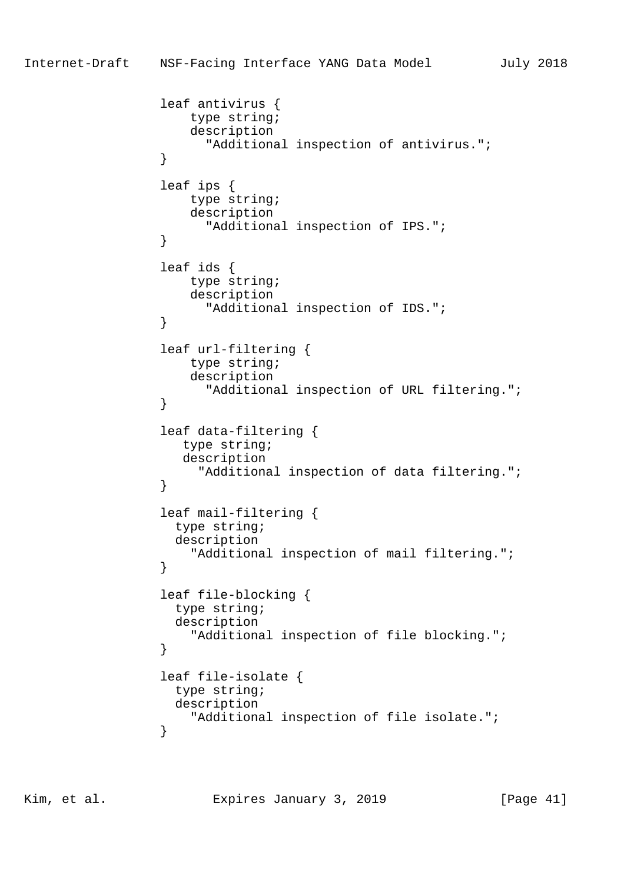```
 leaf antivirus {
                    type string;
                    description
                      "Additional inspection of antivirus.";
 }
                 leaf ips {
                    type string;
                    description
                      "Additional inspection of IPS.";
 }
                 leaf ids {
                    type string;
                    description
                      "Additional inspection of IDS.";
 }
                 leaf url-filtering {
                    type string;
                    description
                      "Additional inspection of URL filtering.";
 }
                 leaf data-filtering {
                   type string;
                   description
                     "Additional inspection of data filtering.";
 }
                 leaf mail-filtering {
                  type string;
                  description
                 "Additional inspection of mail filtering.";
 }
                 leaf file-blocking {
                  type string;
                  description
                    "Additional inspection of file blocking.";
 }
                 leaf file-isolate {
                  type string;
                  description
                 "Additional inspection of file isolate.";
 }
```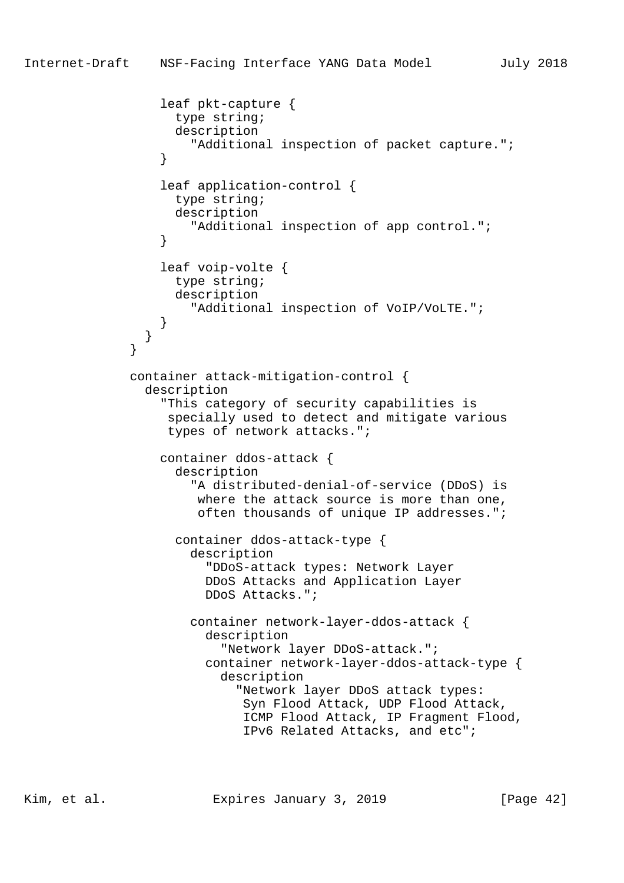```
 leaf pkt-capture {
                    type string;
                    description
                      "Additional inspection of packet capture.";
 }
                  leaf application-control {
                    type string;
                    description
                      "Additional inspection of app control.";
 }
                  leaf voip-volte {
                    type string;
                    description
                      "Additional inspection of VoIP/VoLTE.";
 }
 }
 }
              container attack-mitigation-control {
                description
                  "This category of security capabilities is
                   specially used to detect and mitigate various
                   types of network attacks.";
                  container ddos-attack {
                    description
                      "A distributed-denial-of-service (DDoS) is
                      where the attack source is more than one,
                       often thousands of unique IP addresses.";
                    container ddos-attack-type {
                      description
                        "DDoS-attack types: Network Layer
                        DDoS Attacks and Application Layer
                        DDoS Attacks.";
                      container network-layer-ddos-attack {
                        description
                          "Network layer DDoS-attack.";
                        container network-layer-ddos-attack-type {
                          description
                            "Network layer DDoS attack types:
                             Syn Flood Attack, UDP Flood Attack,
                             ICMP Flood Attack, IP Fragment Flood,
                             IPv6 Related Attacks, and etc";
```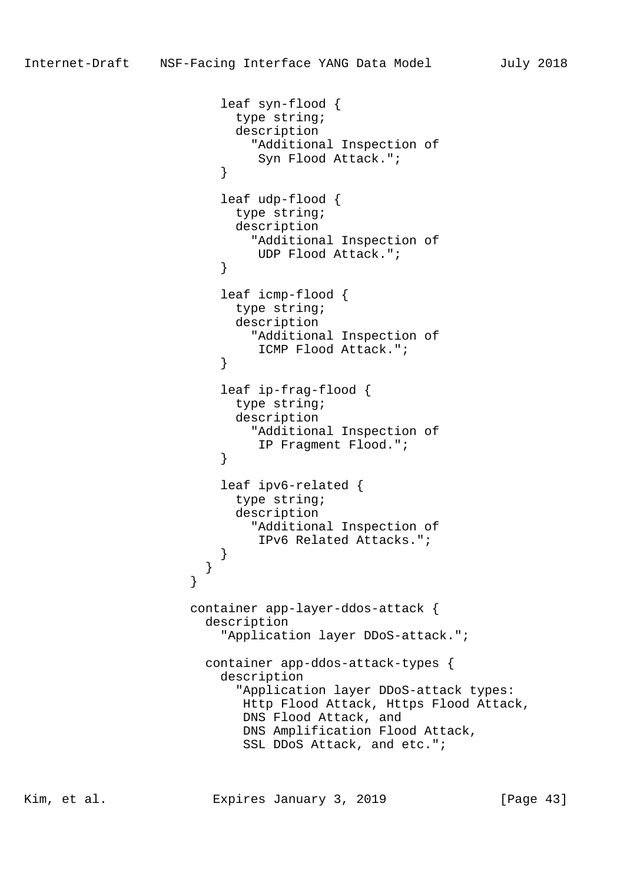```
 leaf syn-flood {
                         type string;
                         description
                           "Additional Inspection of
                           Syn Flood Attack.";
 }
                       leaf udp-flood {
                         type string;
                         description
                          "Additional Inspection of
                           UDP Flood Attack.";
 }
                       leaf icmp-flood {
                         type string;
                         description
                           "Additional Inspection of
                      ICMP Flood Attack.";
 }
                       leaf ip-frag-flood {
                         type string;
                         description
                          "Additional Inspection of
                      IP Fragment Flood.";
 }
                       leaf ipv6-related {
                         type string;
                         description
                          "Additional Inspection of
                           IPv6 Related Attacks.";
 }
 }
 }
                    container app-layer-ddos-attack {
                     description
                       "Application layer DDoS-attack.";
                     container app-ddos-attack-types {
                       description
                         "Application layer DDoS-attack types:
                         Http Flood Attack, Https Flood Attack,
                          DNS Flood Attack, and
                         DNS Amplification Flood Attack,
                          SSL DDoS Attack, and etc.";
```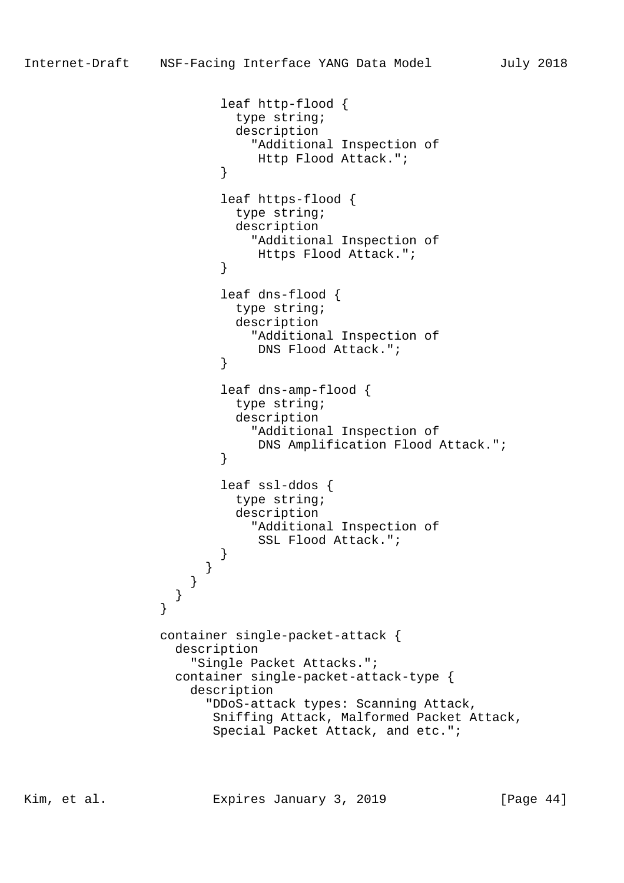```
 leaf http-flood {
                        type string;
                        description
                         "Additional Inspection of
                          Http Flood Attack.";
 }
                      leaf https-flood {
                        type string;
                        description
                         "Additional Inspection of
                          Https Flood Attack.";
 }
                      leaf dns-flood {
                        type string;
                        description
                          "Additional Inspection of
                     DNS Flood Attack.";
 }
                      leaf dns-amp-flood {
                        type string;
                        description
                         "Additional Inspection of
                     DNS Amplification Flood Attack.";<br>}
 }
                      leaf ssl-ddos {
                        type string;
                        description
                         "Additional Inspection of
                          SSL Flood Attack.";
 }
 }
 }
 }
 }
               container single-packet-attack {
                 description
                   "Single Packet Attacks.";
                 container single-packet-attack-type {
                   description
                     "DDoS-attack types: Scanning Attack,
                     Sniffing Attack, Malformed Packet Attack,
                     Special Packet Attack, and etc.";
```
Kim, et al. Expires January 3, 2019 [Page 44]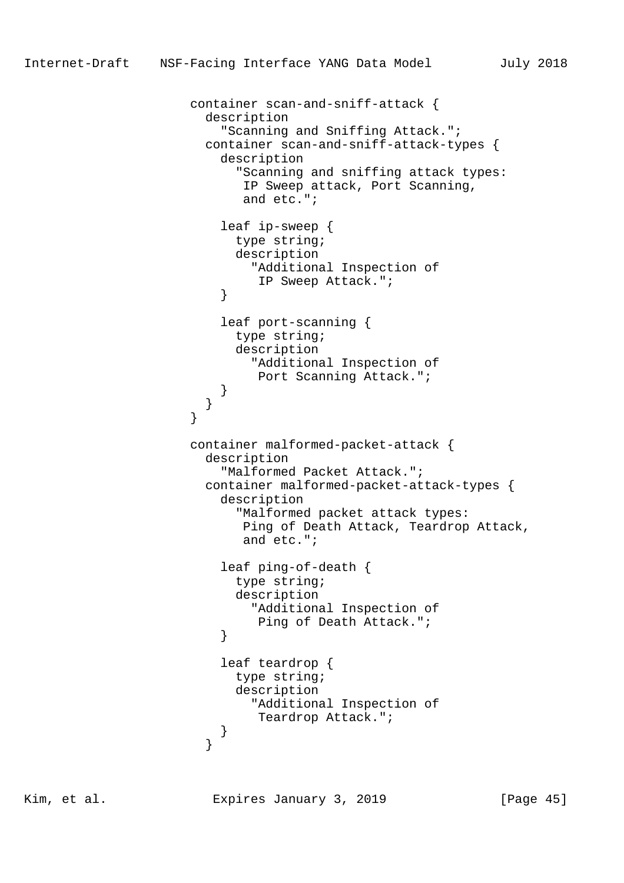```
 container scan-and-sniff-attack {
                      description
                        "Scanning and Sniffing Attack.";
                      container scan-and-sniff-attack-types {
                        description
                          "Scanning and sniffing attack types:
                          IP Sweep attack, Port Scanning,
                          and etc.";
                        leaf ip-sweep {
                         type string;
                         description
                           "Additional Inspection of
                            IP Sweep Attack.";
 }
                        leaf port-scanning {
                         type string;
                         description
                           "Additional Inspection of
                            Port Scanning Attack.";
 }
 }
 }
                    container malformed-packet-attack {
                      description
                        "Malformed Packet Attack.";
                      container malformed-packet-attack-types {
                        description
                          "Malformed packet attack types:
                          Ping of Death Attack, Teardrop Attack,
                          and etc.";
                        leaf ping-of-death {
                         type string;
                         description
                           "Additional Inspection of
                            Ping of Death Attack.";
 }
                        leaf teardrop {
                         type string;
                         description
                           "Additional Inspection of
                            Teardrop Attack.";
 }
 }
```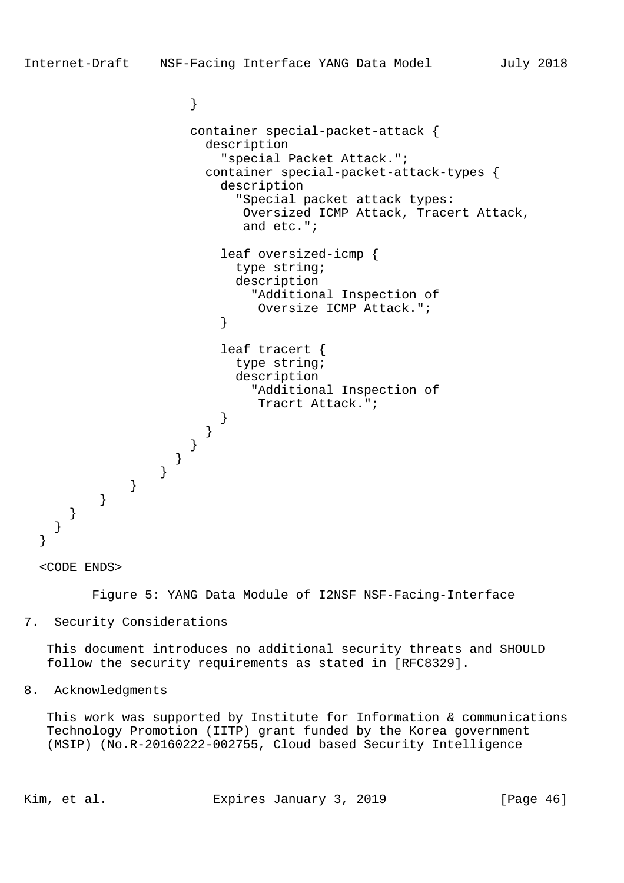```
 container special-packet-attack {
  description
     "special Packet Attack.";
   container special-packet-attack-types {
     description
       "Special packet attack types:
        Oversized ICMP Attack, Tracert Attack,
        and etc.";
```

```
 leaf oversized-icmp {
                         type string;
                         description
                          "Additional Inspection of
                           Oversize ICMP Attack.";
 }
```

```
 leaf tracert {
                        type string;
                        description
                          "Additional Inspection of
                           Tracrt Attack.";
 }
```

```
 <CODE ENDS>
```
 } } } }

Figure 5: YANG Data Module of I2NSF NSF-Facing-Interface

7. Security Considerations

 } } }

 $\begin{matrix} \uparrow \\ \downarrow \end{matrix}$ 

}

}

 This document introduces no additional security threats and SHOULD follow the security requirements as stated in [RFC8329].

8. Acknowledgments

 This work was supported by Institute for Information & communications Technology Promotion (IITP) grant funded by the Korea government (MSIP) (No.R-20160222-002755, Cloud based Security Intelligence

Kim, et al. Expires January 3, 2019 [Page 46]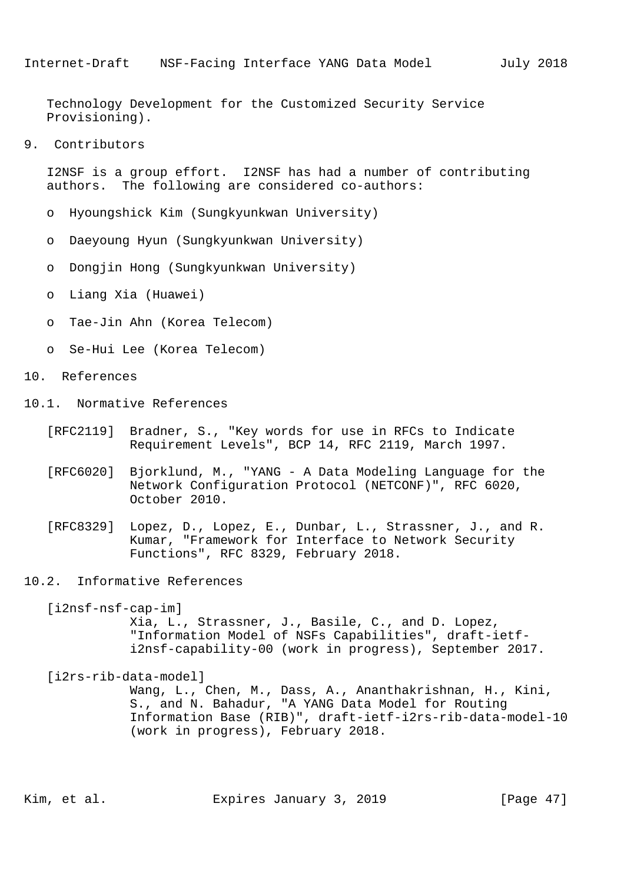Technology Development for the Customized Security Service Provisioning).

9. Contributors

 I2NSF is a group effort. I2NSF has had a number of contributing authors. The following are considered co-authors:

- o Hyoungshick Kim (Sungkyunkwan University)
- o Daeyoung Hyun (Sungkyunkwan University)
- o Dongjin Hong (Sungkyunkwan University)
- o Liang Xia (Huawei)
- o Tae-Jin Ahn (Korea Telecom)
- o Se-Hui Lee (Korea Telecom)
- 10. References
- 10.1. Normative References
	- [RFC2119] Bradner, S., "Key words for use in RFCs to Indicate Requirement Levels", BCP 14, RFC 2119, March 1997.
	- [RFC6020] Bjorklund, M., "YANG A Data Modeling Language for the Network Configuration Protocol (NETCONF)", RFC 6020, October 2010.
	- [RFC8329] Lopez, D., Lopez, E., Dunbar, L., Strassner, J., and R. Kumar, "Framework for Interface to Network Security Functions", RFC 8329, February 2018.
- 10.2. Informative References

 [i2nsf-nsf-cap-im] Xia, L., Strassner, J., Basile, C., and D. Lopez, "Information Model of NSFs Capabilities", draft-ietf i2nsf-capability-00 (work in progress), September 2017.

[i2rs-rib-data-model]

 Wang, L., Chen, M., Dass, A., Ananthakrishnan, H., Kini, S., and N. Bahadur, "A YANG Data Model for Routing Information Base (RIB)", draft-ietf-i2rs-rib-data-model-10 (work in progress), February 2018.

Kim, et al. Expires January 3, 2019 [Page 47]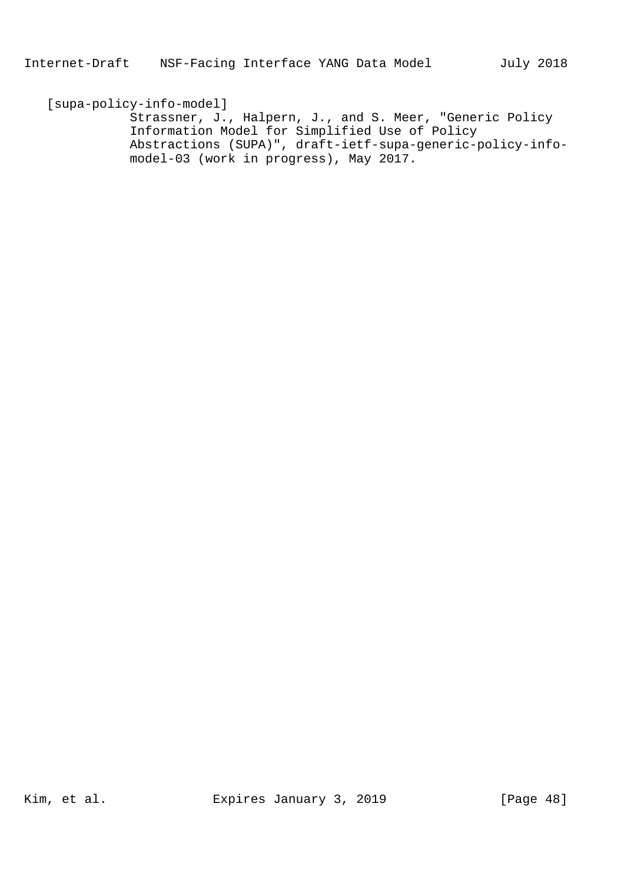[supa-policy-info-model] Strassner, J., Halpern, J., and S. Meer, "Generic Policy Information Model for Simplified Use of Policy Abstractions (SUPA)", draft-ietf-supa-generic-policy-info model-03 (work in progress), May 2017.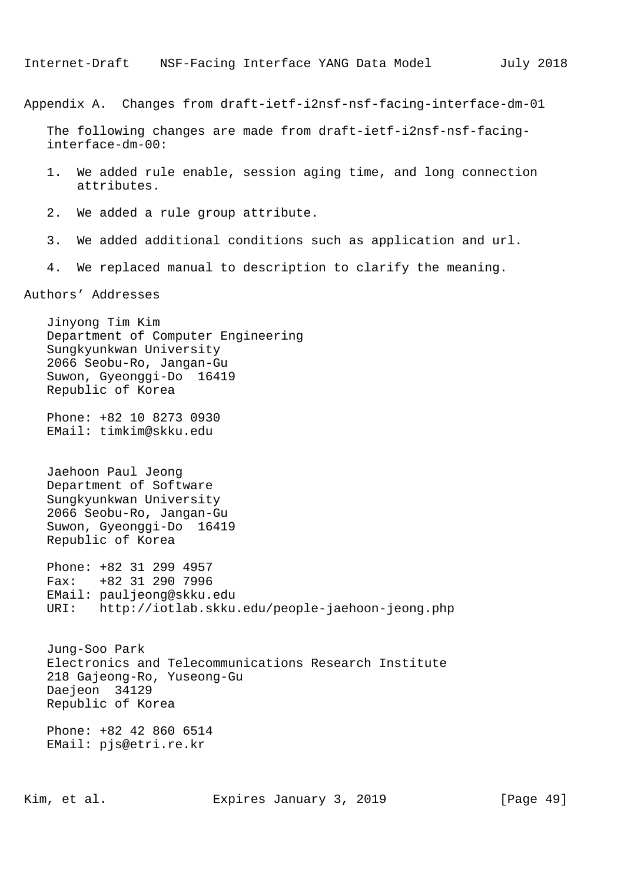Appendix A. Changes from draft-ietf-i2nsf-nsf-facing-interface-dm-01

 The following changes are made from draft-ietf-i2nsf-nsf-facing interface-dm-00:

- 1. We added rule enable, session aging time, and long connection attributes.
- 2. We added a rule group attribute.
- 3. We added additional conditions such as application and url.
- 4. We replaced manual to description to clarify the meaning.

Authors' Addresses

 Jinyong Tim Kim Department of Computer Engineering Sungkyunkwan University 2066 Seobu-Ro, Jangan-Gu Suwon, Gyeonggi-Do 16419 Republic of Korea Phone: +82 10 8273 0930 EMail: timkim@skku.edu

 Jaehoon Paul Jeong Department of Software Sungkyunkwan University 2066 Seobu-Ro, Jangan-Gu Suwon, Gyeonggi-Do 16419 Republic of Korea

 Phone: +82 31 299 4957 Fax: +82 31 290 7996 EMail: pauljeong@skku.edu URI: http://iotlab.skku.edu/people-jaehoon-jeong.php

 Jung-Soo Park Electronics and Telecommunications Research Institute 218 Gajeong-Ro, Yuseong-Gu Daejeon 34129 Republic of Korea

 Phone: +82 42 860 6514 EMail: pjs@etri.re.kr